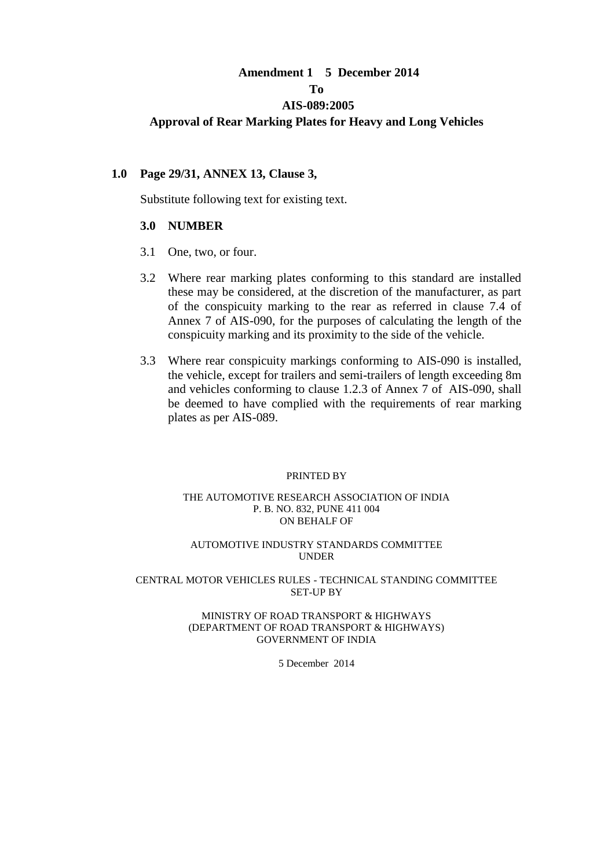# **Amendment 1 5 December 2014 To AIS-089:2005 Approval of Rear Marking Plates for Heavy and Long Vehicles**

### **1.0 Page 29/31, ANNEX 13, Clause 3,**

Substitute following text for existing text.

### **3.0 NUMBER**

- 3.1 One, two, or four.
- 3.2 Where rear marking plates conforming to this standard are installed these may be considered, at the discretion of the manufacturer, as part of the conspicuity marking to the rear as referred in clause 7.4 of Annex 7 of AIS-090, for the purposes of calculating the length of the conspicuity marking and its proximity to the side of the vehicle.
- 3.3 Where rear conspicuity markings conforming to AIS-090 is installed, the vehicle, except for trailers and semi-trailers of length exceeding 8m and vehicles conforming to clause 1.2.3 of Annex 7 of AIS-090, shall be deemed to have complied with the requirements of rear marking plates as per AIS-089.

### PRINTED BY

### THE AUTOMOTIVE RESEARCH ASSOCIATION OF INDIA P. B. NO. 832, PUNE 411 004 ON BEHALF OF

### AUTOMOTIVE INDUSTRY STANDARDS COMMITTEE UNDER

### CENTRAL MOTOR VEHICLES RULES - TECHNICAL STANDING COMMITTEE SET-UP BY

### MINISTRY OF ROAD TRANSPORT & HIGHWAYS (DEPARTMENT OF ROAD TRANSPORT & HIGHWAYS) GOVERNMENT OF INDIA

5 December 2014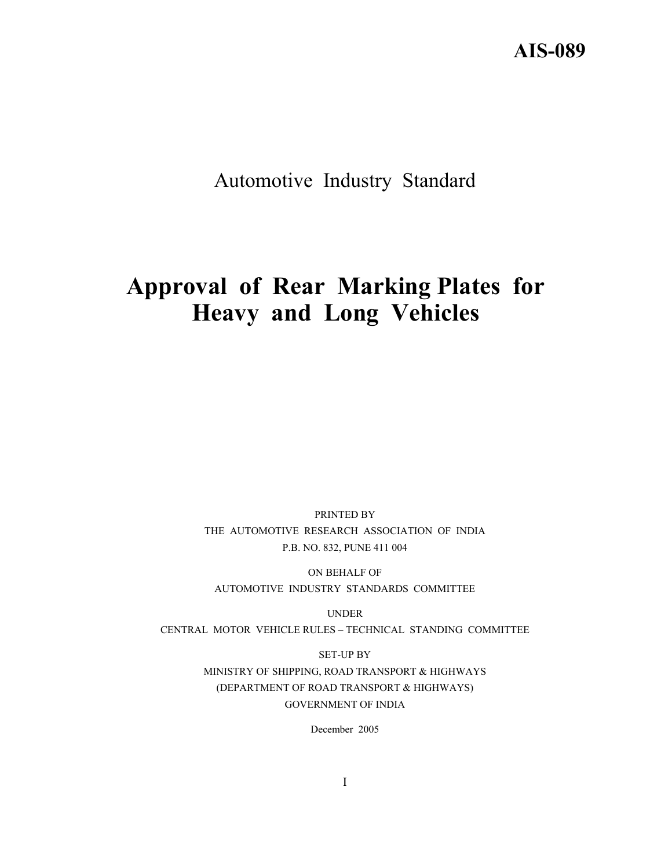# **AIS-089**

# Automotive Industry Standard

# **Approval of Rear Marking Plates for Heavy and Long Vehicles**

PRINTED BY THE AUTOMOTIVE RESEARCH ASSOCIATION OF INDIA P.B. NO. 832, PUNE 411 004

ON BEHALF OF AUTOMOTIVE INDUSTRY STANDARDS COMMITTEE

UNDER CENTRAL MOTOR VEHICLE RULES – TECHNICAL STANDING COMMITTEE

> SET-UP BY MINISTRY OF SHIPPING, ROAD TRANSPORT & HIGHWAYS (DEPARTMENT OF ROAD TRANSPORT & HIGHWAYS) GOVERNMENT OF INDIA

> > December 2005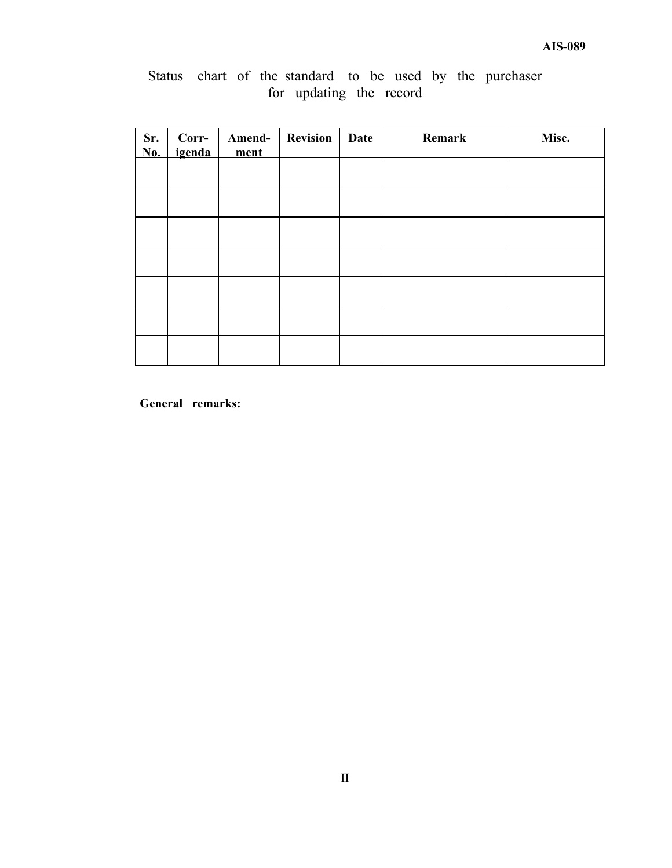|                         |  |  |  |  |  |  |  |  |  | Status chart of the standard to be used by the purchaser |  |
|-------------------------|--|--|--|--|--|--|--|--|--|----------------------------------------------------------|--|
| for updating the record |  |  |  |  |  |  |  |  |  |                                                          |  |

| Sr.<br>No. | Corr-<br><i>igenda</i> | Amend-<br>ment | <b>Revision</b> | Date | Remark | Misc. |
|------------|------------------------|----------------|-----------------|------|--------|-------|
|            |                        |                |                 |      |        |       |
|            |                        |                |                 |      |        |       |
|            |                        |                |                 |      |        |       |
|            |                        |                |                 |      |        |       |
|            |                        |                |                 |      |        |       |
|            |                        |                |                 |      |        |       |
|            |                        |                |                 |      |        |       |

**General remarks:**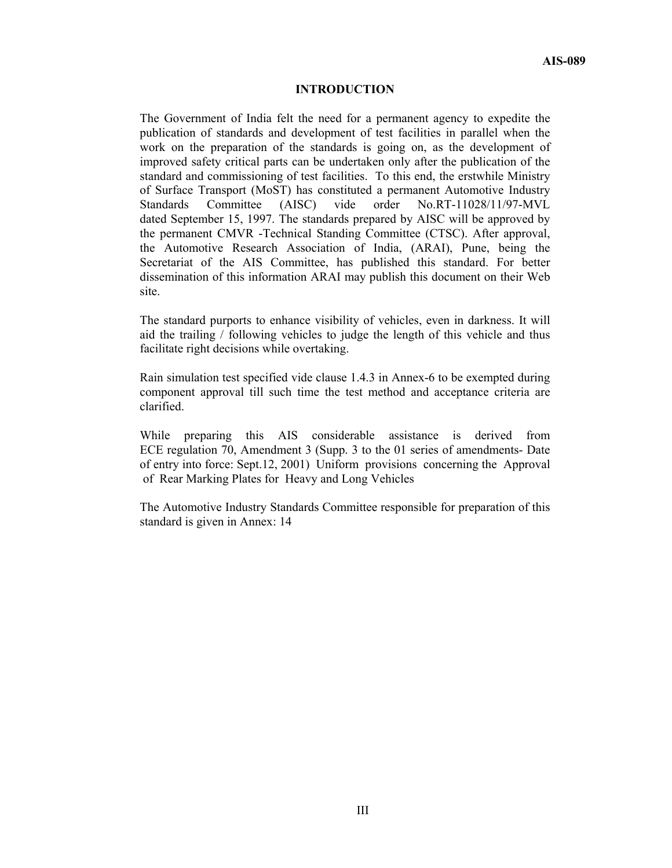### **INTRODUCTION**

The Government of India felt the need for a permanent agency to expedite the publication of standards and development of test facilities in parallel when the work on the preparation of the standards is going on, as the development of improved safety critical parts can be undertaken only after the publication of the standard and commissioning of test facilities. To this end, the erstwhile Ministry of Surface Transport (MoST) has constituted a permanent Automotive Industry Standards Committee (AISC) vide order No.RT-11028/11/97-MVL dated September 15, 1997. The standards prepared by AISC will be approved by the permanent CMVR -Technical Standing Committee (CTSC). After approval, the Automotive Research Association of India, (ARAI), Pune, being the Secretariat of the AIS Committee, has published this standard. For better dissemination of this information ARAI may publish this document on their Web site.

The standard purports to enhance visibility of vehicles, even in darkness. It will aid the trailing / following vehicles to judge the length of this vehicle and thus facilitate right decisions while overtaking.

Rain simulation test specified vide clause 1.4.3 in Annex-6 to be exempted during component approval till such time the test method and acceptance criteria are clarified.

While preparing this AIS considerable assistance is derived from ECE regulation 70, Amendment 3 (Supp. 3 to the 01 series of amendments- Date of entry into force: Sept.12, 2001) Uniform provisions concerning the Approval of Rear Marking Plates for Heavy and Long Vehicles

The Automotive Industry Standards Committee responsible for preparation of this standard is given in Annex: 14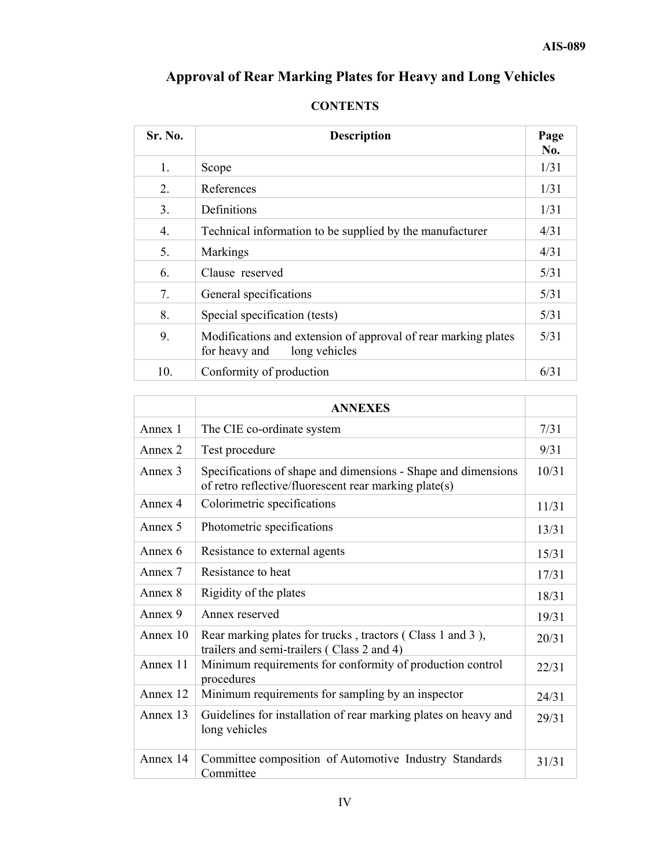# **Approval of Rear Marking Plates for Heavy and Long Vehicles**

| Sr. No. | <b>Description</b>                                                                               | Page<br>No. |
|---------|--------------------------------------------------------------------------------------------------|-------------|
| 1.      | Scope                                                                                            | 1/31        |
| 2.      | References                                                                                       | 1/31        |
| 3.      | Definitions                                                                                      | 1/31        |
| 4.      | Technical information to be supplied by the manufacturer                                         | 4/31        |
| 5.      | Markings                                                                                         | 4/31        |
| 6.      | Clause reserved                                                                                  | 5/31        |
| 7.      | General specifications                                                                           | 5/31        |
| 8.      | Special specification (tests)                                                                    | 5/31        |
| 9.      | Modifications and extension of approval of rear marking plates<br>long vehicles<br>for heavy and | 5/31        |
| 10.     | Conformity of production                                                                         | 6/31        |

# **CONTENTS**

|          | <b>ANNEXES</b>                                                                                                         |       |
|----------|------------------------------------------------------------------------------------------------------------------------|-------|
| Annex 1  | The CIE co-ordinate system                                                                                             | 7/31  |
| Annex 2  | Test procedure                                                                                                         | 9/31  |
| Annex 3  | Specifications of shape and dimensions - Shape and dimensions<br>of retro reflective/fluorescent rear marking plate(s) | 10/31 |
| Annex 4  | Colorimetric specifications                                                                                            | 11/31 |
| Annex 5  | Photometric specifications                                                                                             | 13/31 |
| Annex 6  | Resistance to external agents                                                                                          | 15/31 |
| Annex 7  | Resistance to heat                                                                                                     | 17/31 |
| Annex 8  | Rigidity of the plates                                                                                                 | 18/31 |
| Annex 9  | Annex reserved                                                                                                         | 19/31 |
| Annex 10 | Rear marking plates for trucks, tractors (Class 1 and 3),<br>trailers and semi-trailers (Class 2 and 4)                | 20/31 |
| Annex 11 | Minimum requirements for conformity of production control<br>procedures                                                | 22/31 |
| Annex 12 | Minimum requirements for sampling by an inspector                                                                      | 24/31 |
| Annex 13 | Guidelines for installation of rear marking plates on heavy and<br>long vehicles                                       | 29/31 |
| Annex 14 | Committee composition of Automotive Industry Standards<br>Committee                                                    | 31/31 |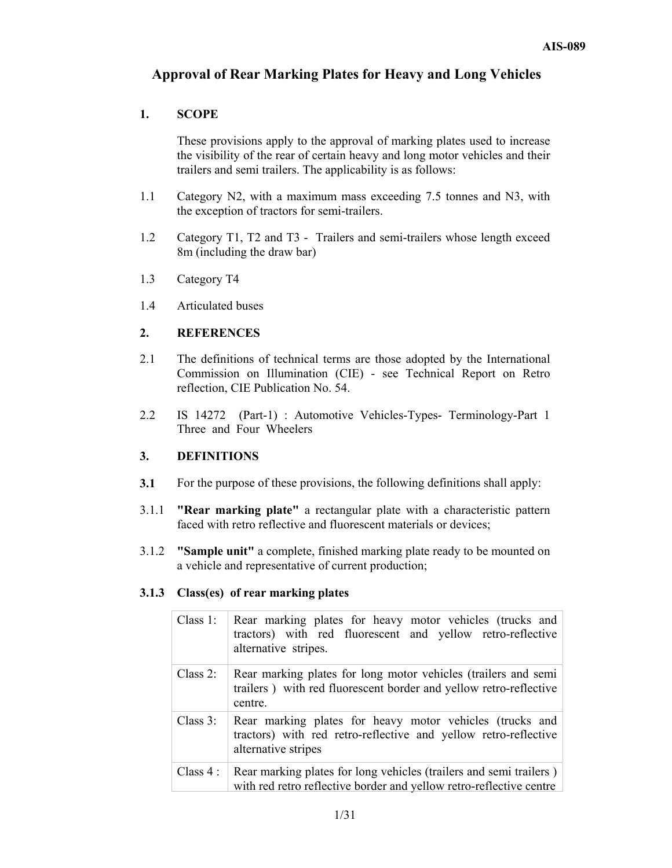# **Approval of Rear Marking Plates for Heavy and Long Vehicles**

### **1. SCOPE**

 These provisions apply to the approval of marking plates used to increase the visibility of the rear of certain heavy and long motor vehicles and their trailers and semi trailers. The applicability is as follows:

- 1.1 Category N2, with a maximum mass exceeding 7.5 tonnes and N3, with the exception of tractors for semi-trailers.
- 1.2 Category T1, T2 and T3 Trailers and semi-trailers whose length exceed 8m (including the draw bar)
- 1.3 Category T4
- 1.4 Articulated buses

### **2. REFERENCES**

- 2.1 The definitions of technical terms are those adopted by the International Commission on Illumination (CIE) - see Technical Report on Retro reflection, CIE Publication No. 54.
- 2.2 IS 14272 (Part-1) : Automotive Vehicles-Types- Terminology-Part 1 Three and Four Wheelers

### **3. DEFINITIONS**

- **3.1** For the purpose of these provisions, the following definitions shall apply:
- 3.1.1 **"Rear marking plate"** a rectangular plate with a characteristic pattern faced with retro reflective and fluorescent materials or devices;
- 3.1.2 **"Sample unit"** a complete, finished marking plate ready to be mounted on a vehicle and representative of current production;

### **3.1.3 Class(es) of rear marking plates**

| Class 1:    | Rear marking plates for heavy motor vehicles (trucks and<br>tractors) with red fluorescent and yellow retro-reflective<br>alternative stripes.     |
|-------------|----------------------------------------------------------------------------------------------------------------------------------------------------|
| $Class 2$ : | Rear marking plates for long motor vehicles (trailers and semi-<br>trailers) with red fluorescent border and yellow retro-reflective<br>centre.    |
| Class 3:    | Rear marking plates for heavy motor vehicles (trucks and<br>tractors) with red retro-reflective and yellow retro-reflective<br>alternative stripes |
| Class 4:    | Rear marking plates for long vehicles (trailers and semi trailers)<br>with red retro reflective border and yellow retro-reflective centre          |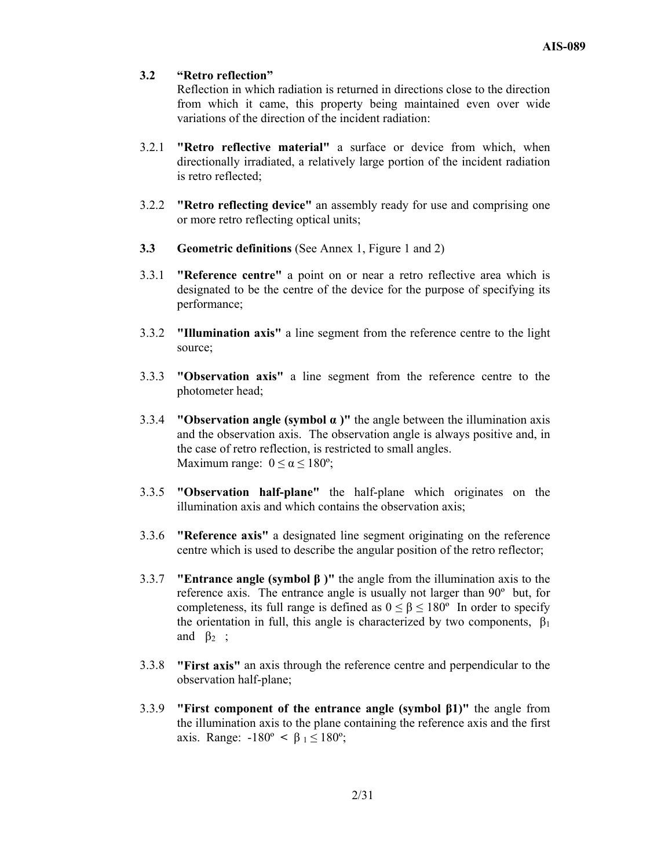### **3.2 "Retro reflection"**

Reflection in which radiation is returned in directions close to the direction from which it came, this property being maintained even over wide variations of the direction of the incident radiation:

- 3.2.1 **"Retro reflective material"** a surface or device from which, when directionally irradiated, a relatively large portion of the incident radiation is retro reflected;
- 3.2.2 **"Retro reflecting device"** an assembly ready for use and comprising one or more retro reflecting optical units;
- **3.3 Geometric definitions** (See Annex 1, Figure 1 and 2)
- 3.3.1 **"Reference centre"** a point on or near a retro reflective area which is designated to be the centre of the device for the purpose of specifying its performance;
- 3.3.2 **"Illumination axis"** a line segment from the reference centre to the light source;
- 3.3.3 **"Observation axis"** a line segment from the reference centre to the photometer head;
- 3.3.4 **"Observation angle (symbol**  $\alpha$ **)"** the angle between the illumination axis and the observation axis. The observation angle is always positive and, in the case of retro reflection, is restricted to small angles. Maximum range:  $0 \le \alpha \le 180^{\circ}$ ;
- 3.3.5 **"Observation half-plane"** the half-plane which originates on the illumination axis and which contains the observation axis;
- 3.3.6 **"Reference axis"** a designated line segment originating on the reference centre which is used to describe the angular position of the retro reflector;
- 3.3.7 **"Entrance angle (symbol β )"** the angle from the illumination axis to the reference axis. The entrance angle is usually not larger than 90º but, for completeness, its full range is defined as  $0 \le \beta \le 180^{\circ}$  In order to specify the orientation in full, this angle is characterized by two components,  $\beta_1$ and  $\beta_2$  ;
- 3.3.8 **"First axis"** an axis through the reference centre and perpendicular to the observation half-plane;
- 3.3.9 **"First component of the entrance angle (symbol β1)"** the angle from the illumination axis to the plane containing the reference axis and the first axis. Range: -180º **<** β <sup>1</sup> ≤ 180º;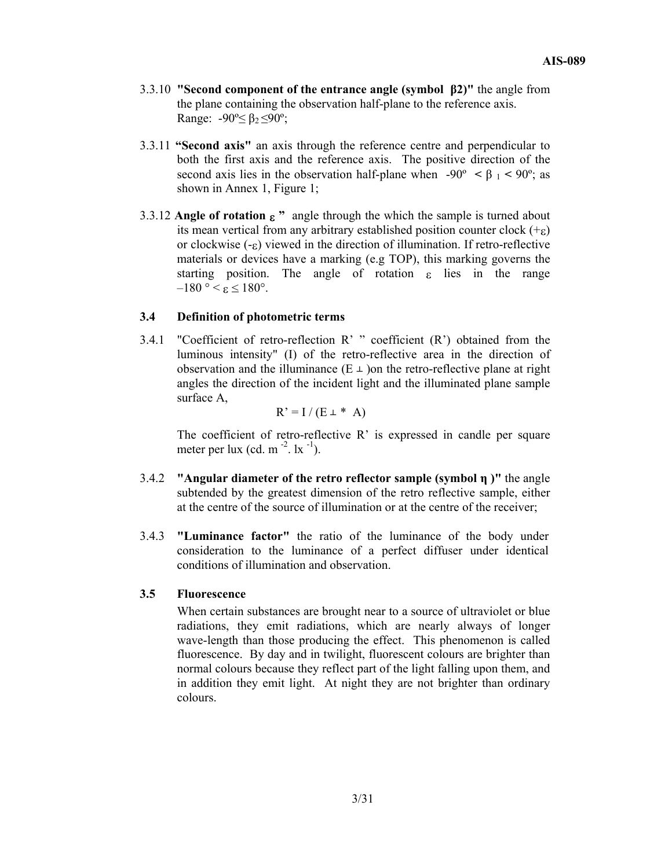- 3.3.10 **"Second component of the entrance angle (symbol β2)"** the angle from the plane containing the observation half-plane to the reference axis. Range:  $-90^{\circ} \leq \beta_2 \leq 90^{\circ}$ ;
- 3.3.11 **"Second axis"** an axis through the reference centre and perpendicular to both the first axis and the reference axis. The positive direction of the second axis lies in the observation half-plane when  $-90^{\circ} < \beta_1 < 90^{\circ}$ ; as shown in Annex 1, Figure 1;
- 3.3.12 **Angle of rotation** ε **"** angle through the which the sample is turned about its mean vertical from any arbitrary established position counter clock  $(+<sub>\epsilon</sub>)$ or clockwise  $(-\varepsilon)$  viewed in the direction of illumination. If retro-reflective materials or devices have a marking (e.g TOP), this marking governs the starting position. The angle of rotation  $\epsilon$  lies in the range  $-180$  ° <  $\varepsilon \le 180$ °.

### **3.4 Definition of photometric terms**

3.4.1 "Coefficient of retro-reflection R' " coefficient (R') obtained from the luminous intensity" (I) of the retro-reflective area in the direction of observation and the illuminance  $(E \perp)$  on the retro-reflective plane at right angles the direction of the incident light and the illuminated plane sample surface A,

 $R' = I / (E \perp * A)$ 

The coefficient of retro-reflective R' is expressed in candle per square meter per lux (cd. m<sup>-2</sup>. lx<sup>-1</sup>).

- 3.4.2 **"Angular diameter of the retro reflector sample (symbol η )"** the angle subtended by the greatest dimension of the retro reflective sample, either at the centre of the source of illumination or at the centre of the receiver;
- 3.4.3 **"Luminance factor"** the ratio of the luminance of the body under consideration to the luminance of a perfect diffuser under identical conditions of illumination and observation.

### **3.5 Fluorescence**

 When certain substances are brought near to a source of ultraviolet or blue radiations, they emit radiations, which are nearly always of longer wave-length than those producing the effect. This phenomenon is called fluorescence. By day and in twilight, fluorescent colours are brighter than normal colours because they reflect part of the light falling upon them, and in addition they emit light. At night they are not brighter than ordinary colours.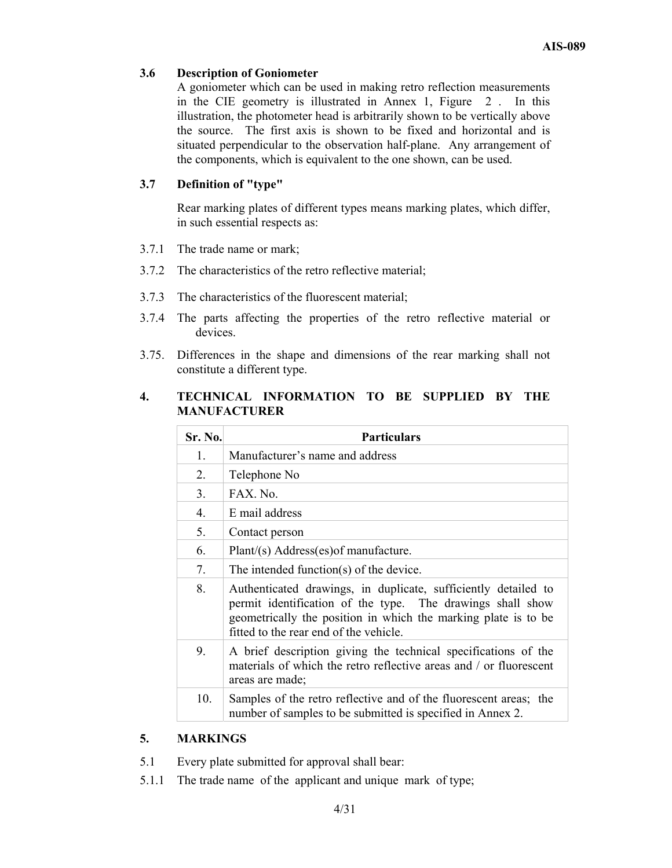### **3.6 Description of Goniometer**

 A goniometer which can be used in making retro reflection measurements in the CIE geometry is illustrated in Annex 1, Figure 2 . In this illustration, the photometer head is arbitrarily shown to be vertically above the source. The first axis is shown to be fixed and horizontal and is situated perpendicular to the observation half-plane. Any arrangement of the components, which is equivalent to the one shown, can be used.

### **3.7 Definition of "type"**

 Rear marking plates of different types means marking plates, which differ, in such essential respects as:

- 3.7.1 The trade name or mark;
- 3.7.2 The characteristics of the retro reflective material;
- 3.7.3 The characteristics of the fluorescent material;
- 3.7.4 The parts affecting the properties of the retro reflective material or devices.
- 3.75. Differences in the shape and dimensions of the rear marking shall not constitute a different type.

### **4. TECHNICAL INFORMATION TO BE SUPPLIED BY THE MANUFACTURER**

| Sr. No. | <b>Particulars</b>                                                                                                                                                                                                                       |
|---------|------------------------------------------------------------------------------------------------------------------------------------------------------------------------------------------------------------------------------------------|
| 1.      | Manufacturer's name and address                                                                                                                                                                                                          |
| 2.      | Telephone No                                                                                                                                                                                                                             |
| 3.      | FAX. No.                                                                                                                                                                                                                                 |
| 4       | E mail address                                                                                                                                                                                                                           |
| 5.      | Contact person                                                                                                                                                                                                                           |
| 6.      | Plant(s) Address(es) of manufacture.                                                                                                                                                                                                     |
| 7.      | The intended function(s) of the device.                                                                                                                                                                                                  |
| 8.      | Authenticated drawings, in duplicate, sufficiently detailed to<br>permit identification of the type. The drawings shall show<br>geometrically the position in which the marking plate is to be<br>fitted to the rear end of the vehicle. |
| 9.      | A brief description giving the technical specifications of the<br>materials of which the retro reflective areas and / or fluorescent<br>areas are made;                                                                                  |
| 10.     | Samples of the retro reflective and of the fluorescent areas; the<br>number of samples to be submitted is specified in Annex 2.                                                                                                          |

### **5. MARKINGS**

- 5.1 Every plate submitted for approval shall bear:
- 5.1.1 The trade name of the applicant and unique mark of type;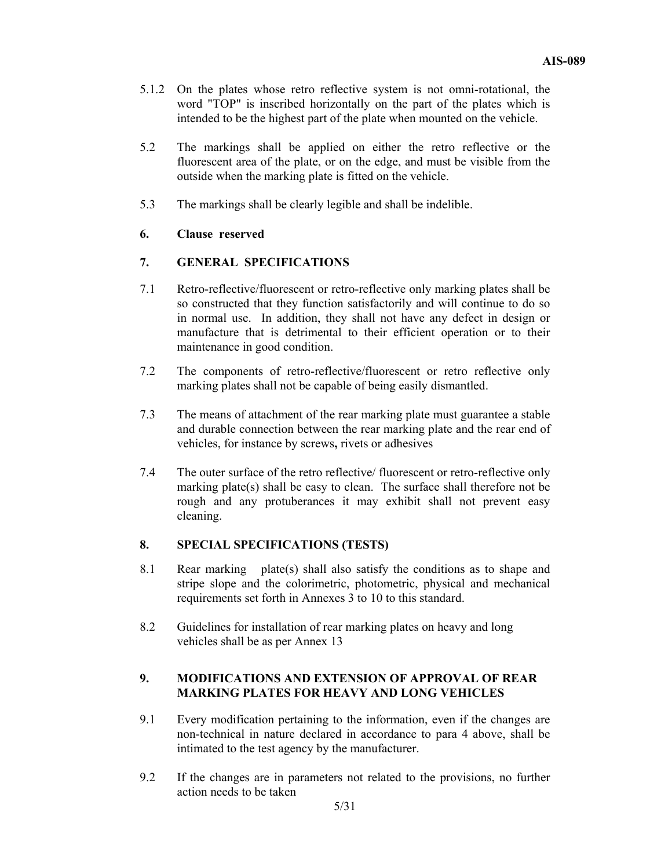- 5.1.2 On the plates whose retro reflective system is not omni-rotational, the word "TOP" is inscribed horizontally on the part of the plates which is intended to be the highest part of the plate when mounted on the vehicle.
- 5.2 The markings shall be applied on either the retro reflective or the fluorescent area of the plate, or on the edge, and must be visible from the outside when the marking plate is fitted on the vehicle.
- 5.3 The markings shall be clearly legible and shall be indelible.

### **6. Clause reserved**

### **7. GENERAL SPECIFICATIONS**

- 7.1 Retro-reflective/fluorescent or retro-reflective only marking plates shall be so constructed that they function satisfactorily and will continue to do so in normal use. In addition, they shall not have any defect in design or manufacture that is detrimental to their efficient operation or to their maintenance in good condition.
- 7.2 The components of retro-reflective/fluorescent or retro reflective only marking plates shall not be capable of being easily dismantled.
- 7.3 The means of attachment of the rear marking plate must guarantee a stable and durable connection between the rear marking plate and the rear end of vehicles, for instance by screws**,** rivets or adhesives
- 7.4 The outer surface of the retro reflective/ fluorescent or retro-reflective only marking plate(s) shall be easy to clean. The surface shall therefore not be rough and any protuberances it may exhibit shall not prevent easy cleaning.

### **8. SPECIAL SPECIFICATIONS (TESTS)**

- 8.1 Rear markingplate(s) shall also satisfy the conditions as to shape and stripe slope and the colorimetric, photometric, physical and mechanical requirements set forth in Annexes 3 to 10 to this standard.
- 8.2 Guidelines for installation of rear marking plates on heavy and long vehicles shall be as per Annex 13

### **9. MODIFICATIONS AND EXTENSION OF APPROVAL OF REAR MARKING PLATES FOR HEAVY AND LONG VEHICLES**

- 9.1 Every modification pertaining to the information, even if the changes are non-technical in nature declared in accordance to para 4 above, shall be intimated to the test agency by the manufacturer.
- 9.2 If the changes are in parameters not related to the provisions, no further action needs to be taken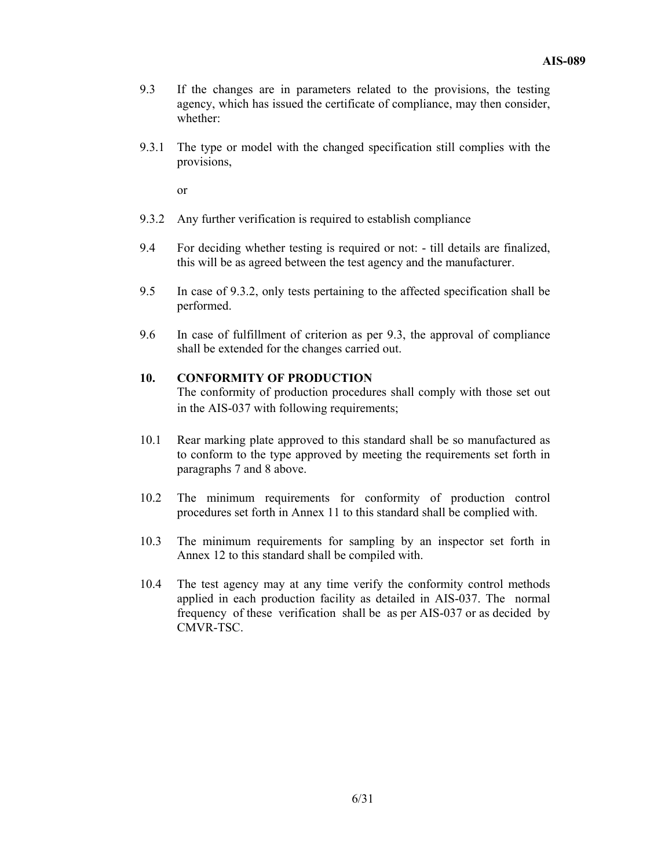- 9.3 If the changes are in parameters related to the provisions, the testing agency, which has issued the certificate of compliance, may then consider, whether:
- 9.3.1 The type or model with the changed specification still complies with the provisions,

or

- 9.3.2 Any further verification is required to establish compliance
- 9.4 For deciding whether testing is required or not: till details are finalized, this will be as agreed between the test agency and the manufacturer.
- 9.5 In case of 9.3.2, only tests pertaining to the affected specification shall be performed.
- 9.6 In case of fulfillment of criterion as per 9.3, the approval of compliance shall be extended for the changes carried out.

### **10. CONFORMITY OF PRODUCTION**

The conformity of production procedures shall comply with those set out in the AIS-037 with following requirements;

- 10.1 Rear marking plate approved to this standard shall be so manufactured as to conform to the type approved by meeting the requirements set forth in paragraphs 7 and 8 above.
- 10.2 The minimum requirements for conformity of production control procedures set forth in Annex 11 to this standard shall be complied with.
- 10.3 The minimum requirements for sampling by an inspector set forth in Annex 12 to this standard shall be compiled with.
- 10.4 The test agency may at any time verify the conformity control methods applied in each production facility as detailed in AIS-037. The normal frequency of these verification shall be as per AIS-037 or as decided by CMVR-TSC.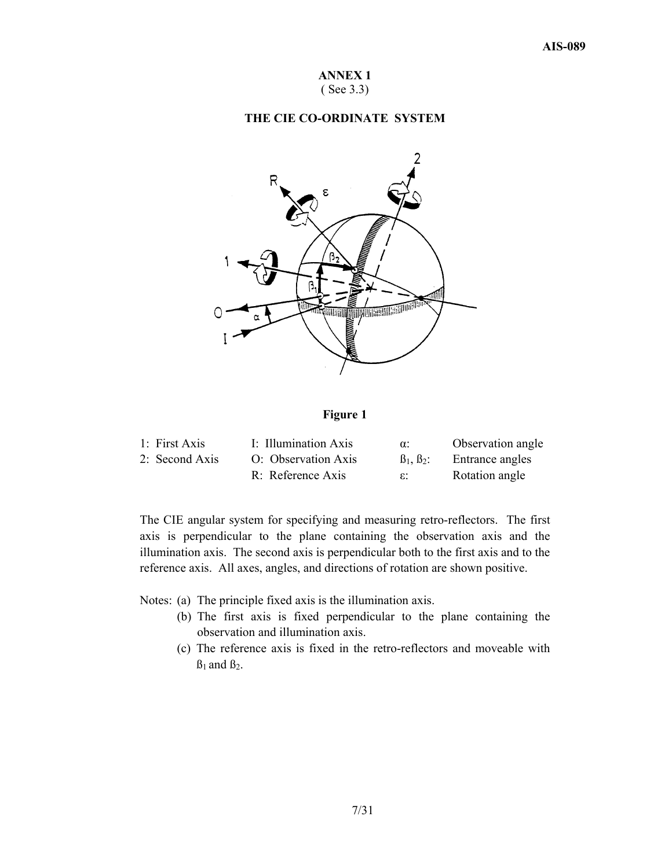### **ANNEX 1**  ( See 3.3)

### **THE CIE CO-ORDINATE SYSTEM**



### **Figure 1**

| 1: First Axis  | I: Illumination Axis | $\alpha$ :              | Observation angle |
|----------------|----------------------|-------------------------|-------------------|
| 2: Second Axis | O: Observation Axis  | $\beta_1$ , $\beta_2$ ; | Entrance angles   |
|                | R: Reference Axis    | E.                      | Rotation angle    |

The CIE angular system for specifying and measuring retro-reflectors. The first axis is perpendicular to the plane containing the observation axis and the illumination axis. The second axis is perpendicular both to the first axis and to the reference axis. All axes, angles, and directions of rotation are shown positive.

Notes: (a) The principle fixed axis is the illumination axis.

- (b) The first axis is fixed perpendicular to the plane containing the observation and illumination axis.
- (c) The reference axis is fixed in the retro-reflectors and moveable with  $B_1$  and  $B_2$ .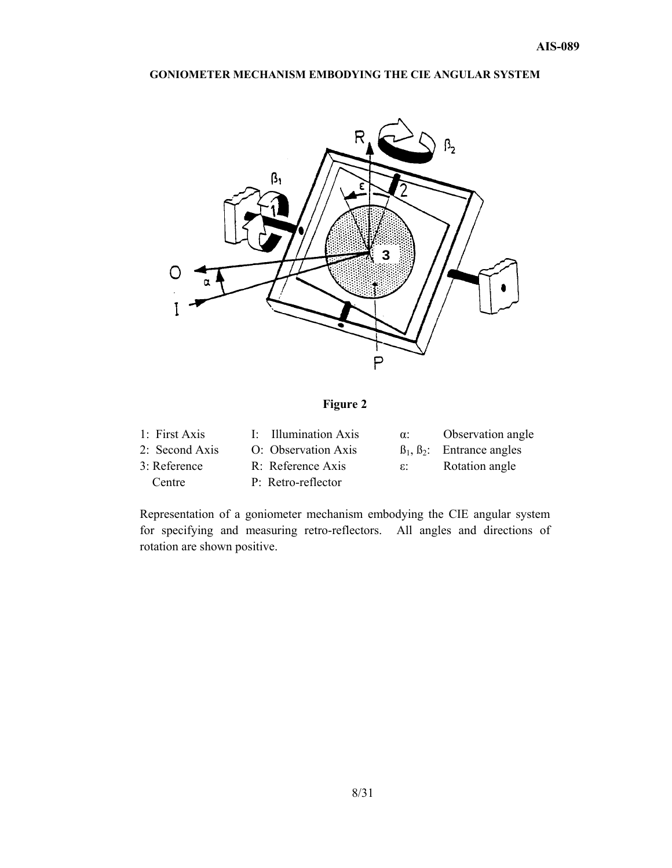### **GONIOMETER MECHANISM EMBODYING THE CIE ANGULAR SYSTEM**



## **Figure 2**

| 1: First Axis  | I: Illumination Axis | $\alpha$ :      | Observation angle                    |
|----------------|----------------------|-----------------|--------------------------------------|
| 2: Second Axis | O: Observation Axis  |                 | $\beta_1, \beta_2$ : Entrance angles |
| 3: Reference   | R: Reference Axis    | $\varepsilon$ . | Rotation angle                       |
| Centre         | P: Retro-reflector   |                 |                                      |
|                |                      |                 |                                      |

Representation of a goniometer mechanism embodying the CIE angular system for specifying and measuring retro-reflectors. All angles and directions of rotation are shown positive.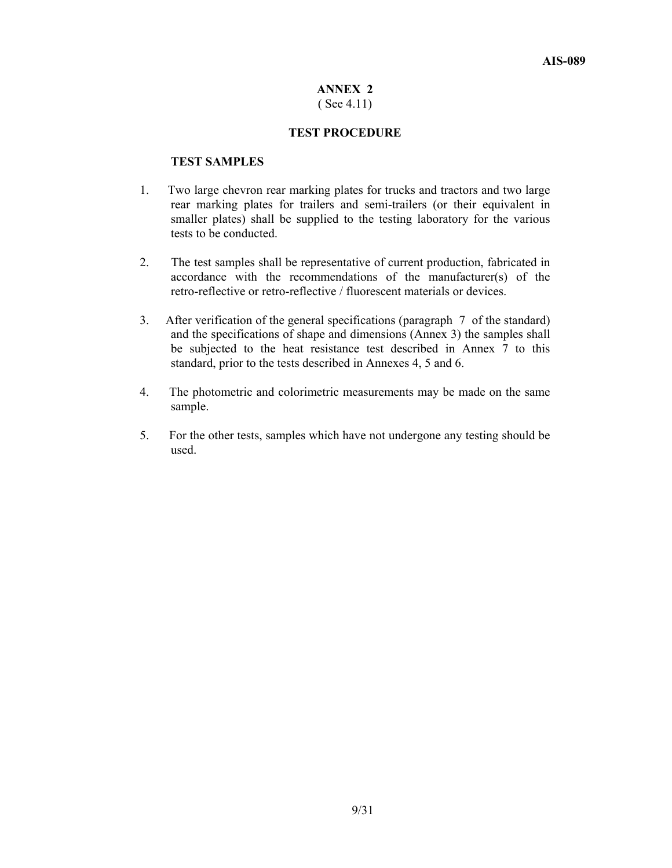### **ANNEX 2**  ( See 4.11)

### **TEST PROCEDURE**

### **TEST SAMPLES**

- 1. Two large chevron rear marking plates for trucks and tractors and two large rear marking plates for trailers and semi-trailers (or their equivalent in smaller plates) shall be supplied to the testing laboratory for the various tests to be conducted.
- 2. The test samples shall be representative of current production, fabricated in accordance with the recommendations of the manufacturer(s) of the retro-reflective or retro-reflective / fluorescent materials or devices.
- 3. After verification of the general specifications (paragraph 7 of the standard) and the specifications of shape and dimensions (Annex 3) the samples shall be subjected to the heat resistance test described in Annex 7 to this standard, prior to the tests described in Annexes 4, 5 and 6.
- 4. The photometric and colorimetric measurements may be made on the same sample.
- 5. For the other tests, samples which have not undergone any testing should be used.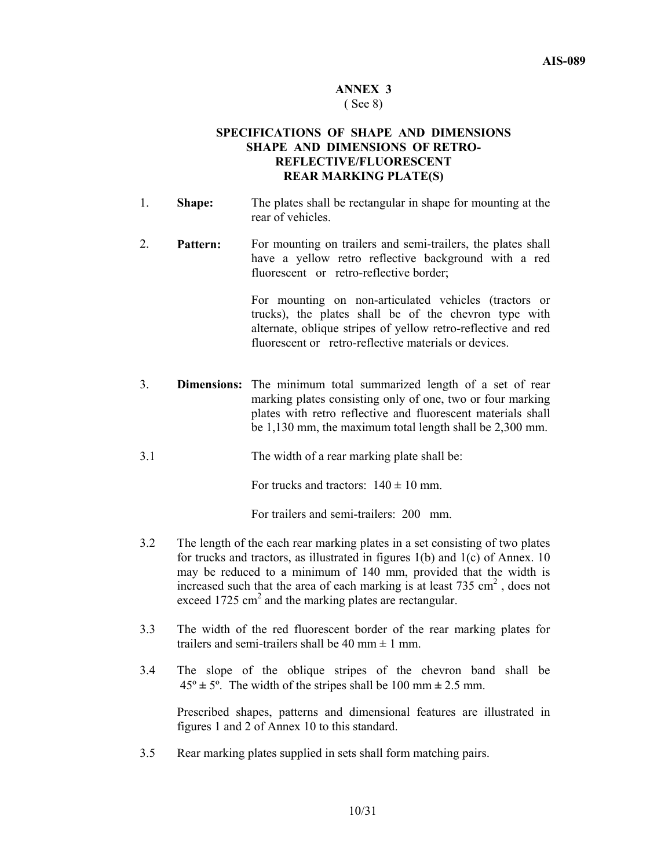### **ANNEX 3**  ( See 8)

### **SPECIFICATIONS OF SHAPE AND DIMENSIONS SHAPE AND DIMENSIONS OF RETRO-REFLECTIVE/FLUORESCENT REAR MARKING PLATE(S)**

- 1. **Shape:** The plates shall be rectangular in shape for mounting at the rear of vehicles.
- 2. **Pattern:** For mounting on trailers and semi-trailers, the plates shall have a yellow retro reflective background with a red fluorescent or retro-reflective border;

 For mounting on non-articulated vehicles (tractors or trucks), the plates shall be of the chevron type with alternate, oblique stripes of yellow retro-reflective and red fluorescent or retro-reflective materials or devices.

- 3. **Dimensions:** The minimum total summarized length of a set of rear marking plates consisting only of one, two or four marking plates with retro reflective and fluorescent materials shall be 1,130 mm, the maximum total length shall be 2,300 mm.
- 3.1 The width of a rear marking plate shall be:

For trucks and tractors:  $140 \pm 10$  mm.

For trailers and semi-trailers: 200 mm.

- 3.2 The length of the each rear marking plates in a set consisting of two plates for trucks and tractors, as illustrated in figures 1(b) and 1(c) of Annex. 10 may be reduced to a minimum of 140 mm, provided that the width is increased such that the area of each marking is at least  $735 \text{ cm}^2$ , does not exceed 1725  $\text{cm}^2$  and the marking plates are rectangular.
- 3.3 The width of the red fluorescent border of the rear marking plates for trailers and semi-trailers shall be 40 mm  $\pm$  1 mm.
- 3.4 The slope of the oblique stripes of the chevron band shall be  $45^\circ \pm 5^\circ$ . The width of the stripes shall be 100 mm  $\pm$  2.5 mm.

 Prescribed shapes, patterns and dimensional features are illustrated in figures 1 and 2 of Annex 10 to this standard.

3.5 Rear marking plates supplied in sets shall form matching pairs.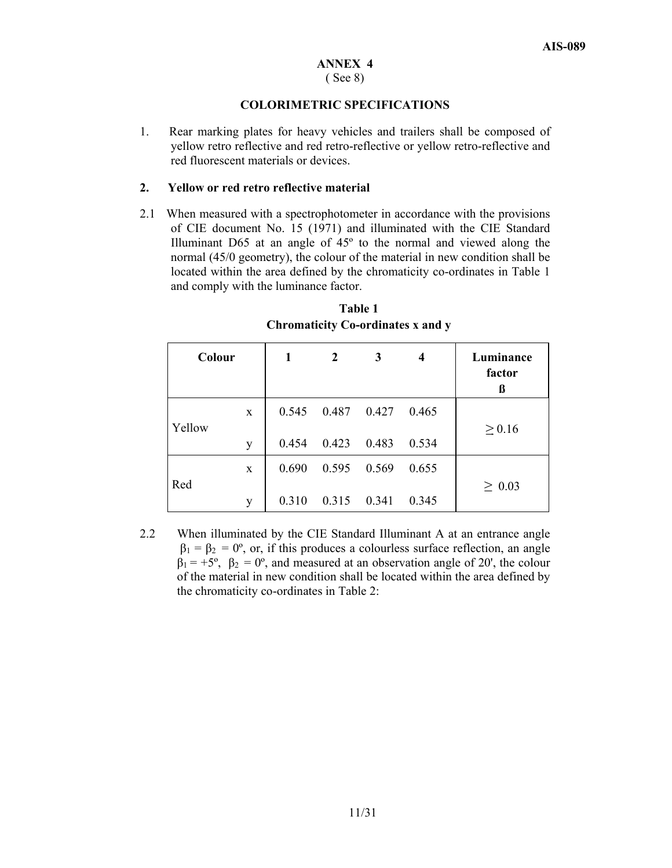### ( See 8)

### **COLORIMETRIC SPECIFICATIONS**

1. Rear marking plates for heavy vehicles and trailers shall be composed of yellow retro reflective and red retro-reflective or yellow retro-reflective and red fluorescent materials or devices.

### **2. Yellow or red retro reflective material**

2.1 When measured with a spectrophotometer in accordance with the provisions of CIE document No. 15 (1971) and illuminated with the CIE Standard Illuminant D65 at an angle of 45º to the normal and viewed along the normal (45/0 geometry), the colour of the material in new condition shall be located within the area defined by the chromaticity co-ordinates in Table 1 and comply with the luminance factor.

| Colour |   | 1     | $\overline{2}$ | 3     | 4     | Luminance<br>factor<br>ß |
|--------|---|-------|----------------|-------|-------|--------------------------|
| Yellow | X | 0.545 | 0.487 0.427    |       | 0.465 |                          |
|        | у | 0.454 | 0.423 0.483    |       | 0.534 | $\geq 0.16$              |
|        | X | 0.690 | 0.595          | 0.569 | 0.655 |                          |
| Red    | у | 0.310 | 0.315          | 0.341 | 0.345 | $\geq 0.03$              |

**Table 1 Chromaticity Co-ordinates x and y**

2.2 When illuminated by the CIE Standard Illuminant A at an entrance angle  $\beta_1 = \beta_2 = 0^{\circ}$ , or, if this produces a colourless surface reflection, an angle  $\beta_1 = +5^\circ$ ,  $\beta_2 = 0^\circ$ , and measured at an observation angle of 20', the colour of the material in new condition shall be located within the area defined by the chromaticity co-ordinates in Table 2: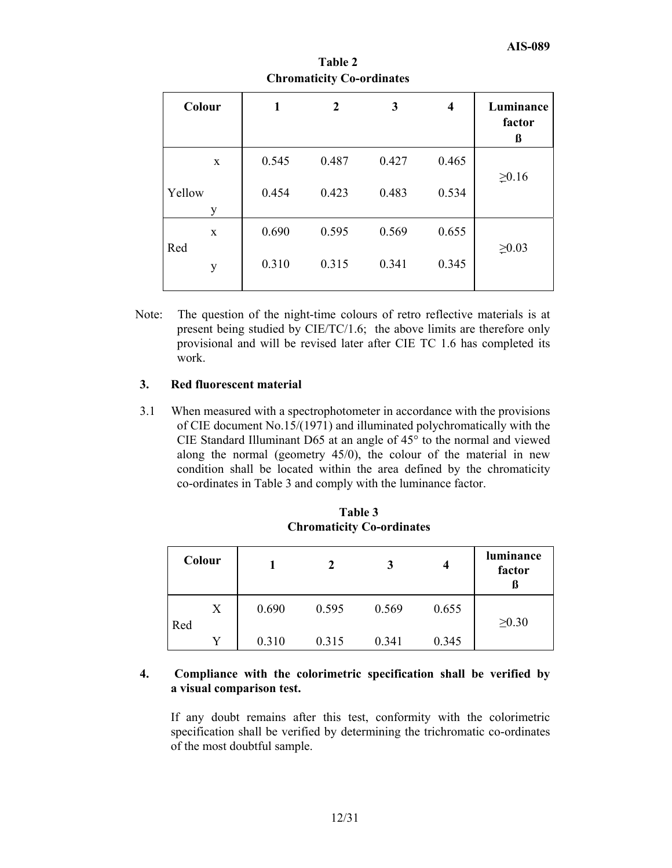|        | Colour       | 1     | $\mathbf{2}$ | 3     | $\overline{\mathbf{4}}$ | Luminance<br>factor<br>ß |  |
|--------|--------------|-------|--------------|-------|-------------------------|--------------------------|--|
|        | X            | 0.545 | 0.487        | 0.427 | 0.465                   |                          |  |
| Yellow | y            | 0.454 | 0.423        | 0.483 | 0.534                   | $\ge 0.16$               |  |
| Red    | $\mathbf{X}$ | 0.690 | 0.595        | 0.569 | 0.655                   |                          |  |
|        | y            | 0.310 | 0.315        | 0.341 | 0.345                   | $\geq 0.03$              |  |

**Table 2 Chromaticity Co-ordinates**

Note: The question of the night-time colours of retro reflective materials is at present being studied by CIE/TC/1.6; the above limits are therefore only provisional and will be revised later after CIE TC 1.6 has completed its work.

### **3. Red fluorescent material**

3.1 When measured with a spectrophotometer in accordance with the provisions of CIE document No.15/(1971) and illuminated polychromatically with the CIE Standard Illuminant D65 at an angle of 45° to the normal and viewed along the normal (geometry 45/0), the colour of the material in new condition shall be located within the area defined by the chromaticity co-ordinates in Table 3 and comply with the luminance factor.

| Colour |   |       |       | 3     | $\boldsymbol{4}$ | luminance<br>factor<br>ĸ |
|--------|---|-------|-------|-------|------------------|--------------------------|
| Red    | X | 0.690 | 0.595 | 0.569 | 0.655            | $\geq 0.30$              |
|        |   | 0.310 | 0.315 | 0.341 | 0.345            |                          |

**Table 3 Chromaticity Co-ordinates**

### **4. Compliance with the colorimetric specification shall be verified by a visual comparison test.**

 If any doubt remains after this test, conformity with the colorimetric specification shall be verified by determining the trichromatic co-ordinates of the most doubtful sample.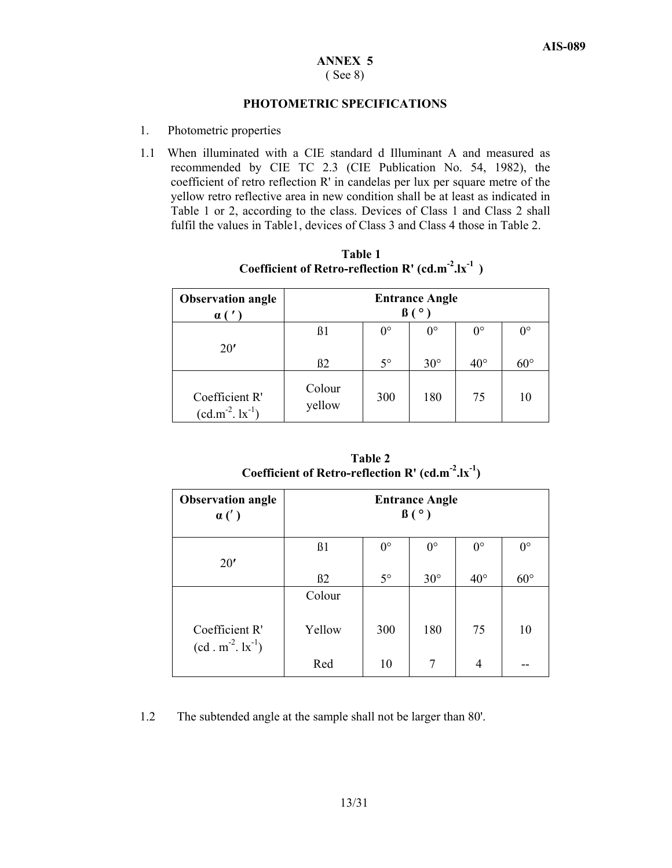# ( See 8)

### **PHOTOMETRIC SPECIFICATIONS**

- 1. Photometric properties
- 1.1 When illuminated with a CIE standard d Illuminant A and measured as recommended by CIE TC 2.3 (CIE Publication No. 54, 1982), the coefficient of retro reflection R' in candelas per lux per square metre of the yellow retro reflective area in new condition shall be at least as indicated in Table 1 or 2, according to the class. Devices of Class 1 and Class 2 shall fulfil the values in Table1, devices of Class 3 and Class 4 those in Table 2.

| <b>Observation angle</b><br>$\alpha$ (' | <b>Entrance Angle</b><br>$\beta$ ( $\circ$ ) |             |             |              |              |  |  |
|-----------------------------------------|----------------------------------------------|-------------|-------------|--------------|--------------|--|--|
| 20'                                     | 61                                           | $0^{\circ}$ | $0^{\circ}$ | $0^{\circ}$  | $0^{\circ}$  |  |  |
|                                         | B <sub>2</sub>                               | $5^{\circ}$ | $30^\circ$  | $40^{\circ}$ | $60^{\circ}$ |  |  |
| Coefficient R'<br>$(cd.m^{-2}.1x^{-1})$ | Colour<br>yellow                             | 300         | 180         | 75           | 10           |  |  |

**Table 1 Coefficient of Retro-reflection R' (cd.m-2.lx-1 )** 

| Table 2                                                                    |  |
|----------------------------------------------------------------------------|--|
| Coefficient of Retro-reflection R' (cd.m <sup>-2</sup> .lx <sup>-1</sup> ) |  |

| <b>Observation angle</b><br>$\alpha(')$             | <b>Entrance Angle</b><br>$\beta$ ( $\circ$ ) |             |             |              |              |
|-----------------------------------------------------|----------------------------------------------|-------------|-------------|--------------|--------------|
|                                                     | B1                                           | $0^{\circ}$ | $0^{\circ}$ | $0^{\circ}$  | $0^{\circ}$  |
| 20'                                                 | B2                                           | $5^\circ$   | $30^\circ$  | $40^{\circ}$ | $60^{\circ}$ |
|                                                     | Colour                                       |             |             |              |              |
| Coefficient R'<br>$(cd \cdot m^{-2} \cdot lx^{-1})$ | Yellow                                       | 300         | 180         | 75           | 10           |
|                                                     | Red                                          | 10          | 7           | 4            |              |

1.2 The subtended angle at the sample shall not be larger than 80'.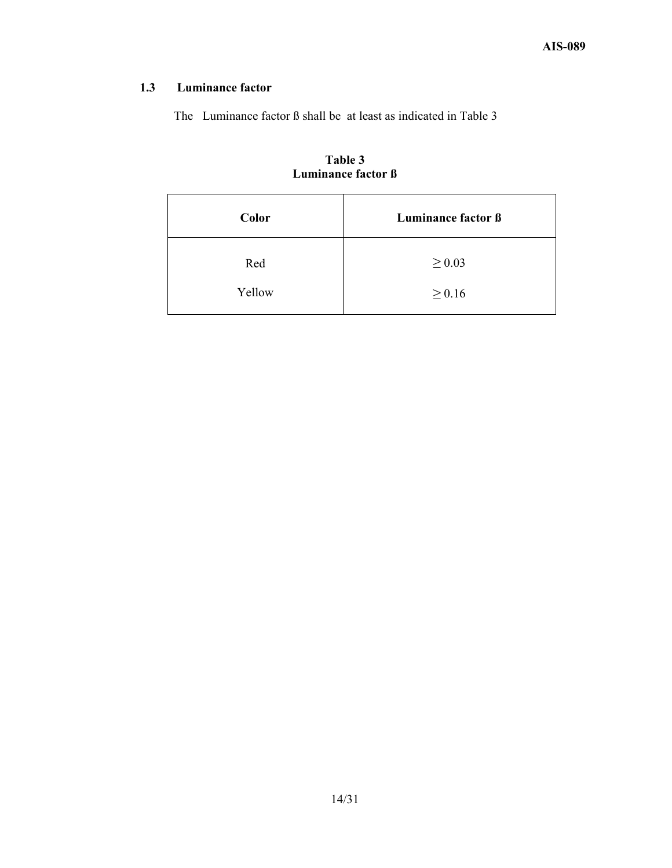# **1.3 Luminance factor**

The Luminance factor ß shall be at least as indicated in Table 3

| Color  | Luminance factor ß |
|--------|--------------------|
| Red    | $\geq 0.03$        |
| Yellow | $\geq 0.16$        |

**Table 3 Luminance factor ß**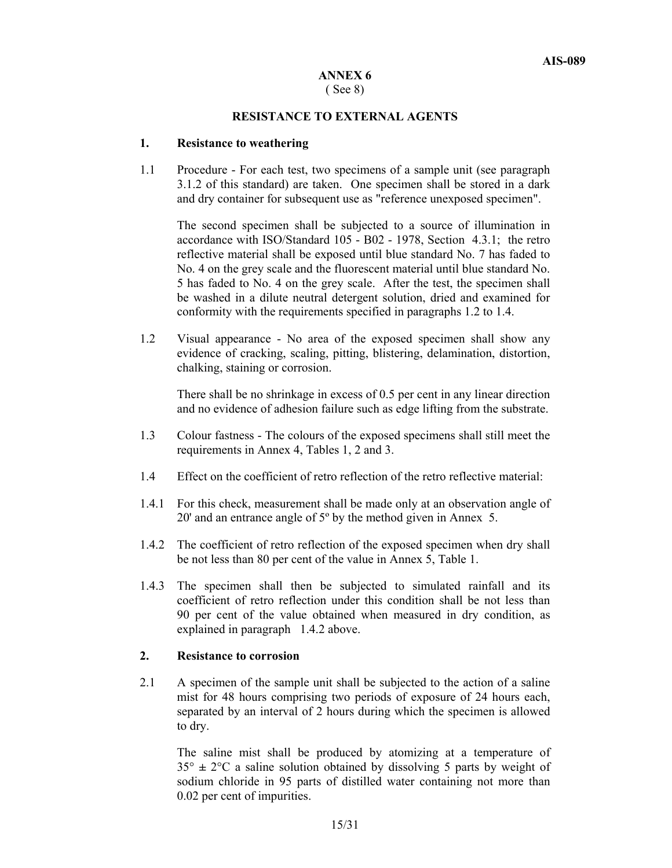### ( See 8)

### **RESISTANCE TO EXTERNAL AGENTS**

### **1. Resistance to weathering**

1.1 Procedure - For each test, two specimens of a sample unit (see paragraph 3.1.2 of this standard) are taken. One specimen shall be stored in a dark and dry container for subsequent use as "reference unexposed specimen".

 The second specimen shall be subjected to a source of illumination in accordance with ISO/Standard 105 - B02 - 1978, Section 4.3.1; the retro reflective material shall be exposed until blue standard No. 7 has faded to No. 4 on the grey scale and the fluorescent material until blue standard No. 5 has faded to No. 4 on the grey scale. After the test, the specimen shall be washed in a dilute neutral detergent solution, dried and examined for conformity with the requirements specified in paragraphs 1.2 to 1.4.

1.2 Visual appearance - No area of the exposed specimen shall show any evidence of cracking, scaling, pitting, blistering, delamination, distortion, chalking, staining or corrosion.

 There shall be no shrinkage in excess of 0.5 per cent in any linear direction and no evidence of adhesion failure such as edge lifting from the substrate.

- 1.3 Colour fastness The colours of the exposed specimens shall still meet the requirements in Annex 4, Tables 1, 2 and 3.
- 1.4 Effect on the coefficient of retro reflection of the retro reflective material:
- 1.4.1 For this check, measurement shall be made only at an observation angle of 20' and an entrance angle of 5º by the method given in Annex 5.
- 1.4.2 The coefficient of retro reflection of the exposed specimen when dry shall be not less than 80 per cent of the value in Annex 5, Table 1.
- 1.4.3 The specimen shall then be subjected to simulated rainfall and its coefficient of retro reflection under this condition shall be not less than 90 per cent of the value obtained when measured in dry condition, as explained in paragraph 1.4.2 above.

### **2. Resistance to corrosion**

2.1 A specimen of the sample unit shall be subjected to the action of a saline mist for 48 hours comprising two periods of exposure of 24 hours each, separated by an interval of 2 hours during which the specimen is allowed to dry.

The saline mist shall be produced by atomizing at a temperature of  $35^\circ \pm 2^\circ \text{C}$  a saline solution obtained by dissolving 5 parts by weight of sodium chloride in 95 parts of distilled water containing not more than 0.02 per cent of impurities.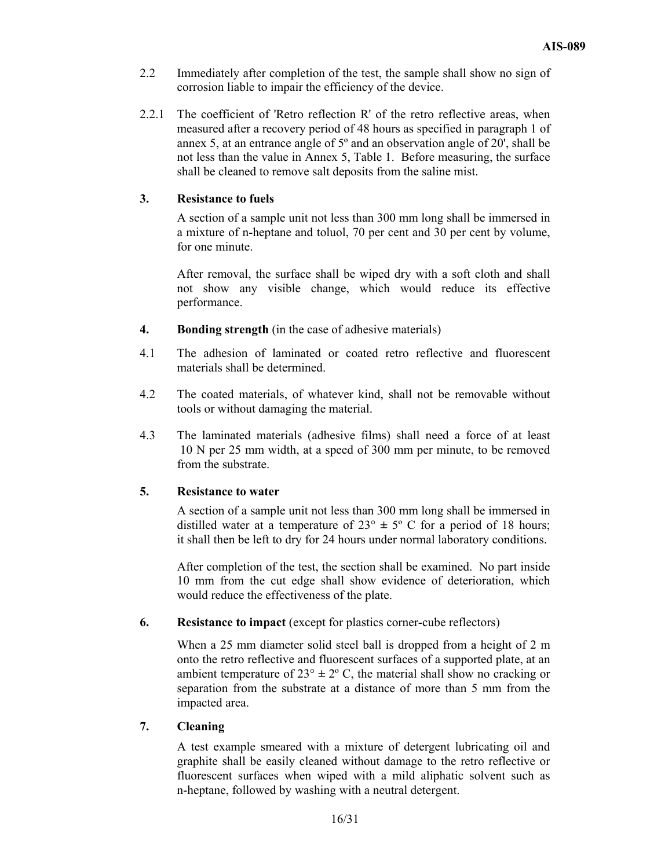- 2.2 Immediately after completion of the test, the sample shall show no sign of corrosion liable to impair the efficiency of the device.
- 2.2.1 The coefficient of 'Retro reflection R' of the retro reflective areas, when measured after a recovery period of 48 hours as specified in paragraph 1 of annex 5, at an entrance angle of 5º and an observation angle of 20', shall be not less than the value in Annex 5, Table 1. Before measuring, the surface shall be cleaned to remove salt deposits from the saline mist.

### **3. Resistance to fuels**

 A section of a sample unit not less than 300 mm long shall be immersed in a mixture of n-heptane and toluol, 70 per cent and 30 per cent by volume, for one minute.

 After removal, the surface shall be wiped dry with a soft cloth and shall not show any visible change, which would reduce its effective performance.

- **4. Bonding strength** (in the case of adhesive materials)
- 4.1 The adhesion of laminated or coated retro reflective and fluorescent materials shall be determined.
- 4.2 The coated materials, of whatever kind, shall not be removable without tools or without damaging the material.
- 4.3 The laminated materials (adhesive films) shall need a force of at least 10 N per 25 mm width, at a speed of 300 mm per minute, to be removed from the substrate.

### **5. Resistance to water**

 A section of a sample unit not less than 300 mm long shall be immersed in distilled water at a temperature of  $23^{\circ} \pm 5^{\circ}$  C for a period of 18 hours; it shall then be left to dry for 24 hours under normal laboratory conditions.

 After completion of the test, the section shall be examined. No part inside 10 mm from the cut edge shall show evidence of deterioration, which would reduce the effectiveness of the plate.

### **6. Resistance to impact** (except for plastics corner-cube reflectors)

 When a 25 mm diameter solid steel ball is dropped from a height of 2 m onto the retro reflective and fluorescent surfaces of a supported plate, at an ambient temperature of  $23^{\circ} \pm 2^{\circ}$  C, the material shall show no cracking or separation from the substrate at a distance of more than 5 mm from the impacted area.

### **7. Cleaning**

 A test example smeared with a mixture of detergent lubricating oil and graphite shall be easily cleaned without damage to the retro reflective or fluorescent surfaces when wiped with a mild aliphatic solvent such as n-heptane, followed by washing with a neutral detergent.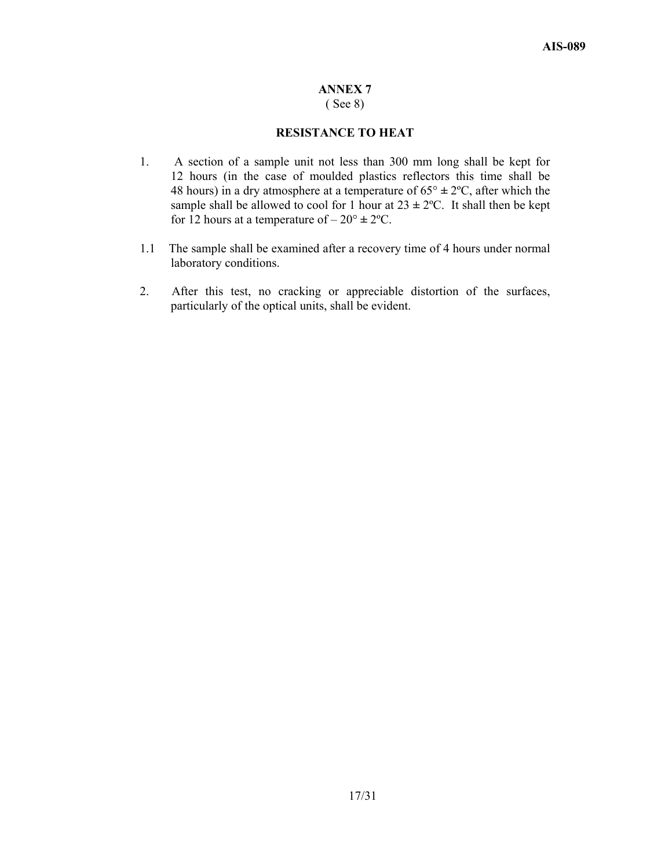## ( See 8)

### **RESISTANCE TO HEAT**

- 1. A section of a sample unit not less than 300 mm long shall be kept for 12 hours (in the case of moulded plastics reflectors this time shall be 48 hours) in a dry atmosphere at a temperature of  $65^{\circ} \pm 2^{\circ}C$ , after which the sample shall be allowed to cool for 1 hour at  $23 \pm 2$ °C. It shall then be kept for 12 hours at a temperature of  $-20^{\circ} \pm 2^{\circ}C$ .
- 1.1 The sample shall be examined after a recovery time of 4 hours under normal laboratory conditions.
- 2. After this test, no cracking or appreciable distortion of the surfaces, particularly of the optical units, shall be evident.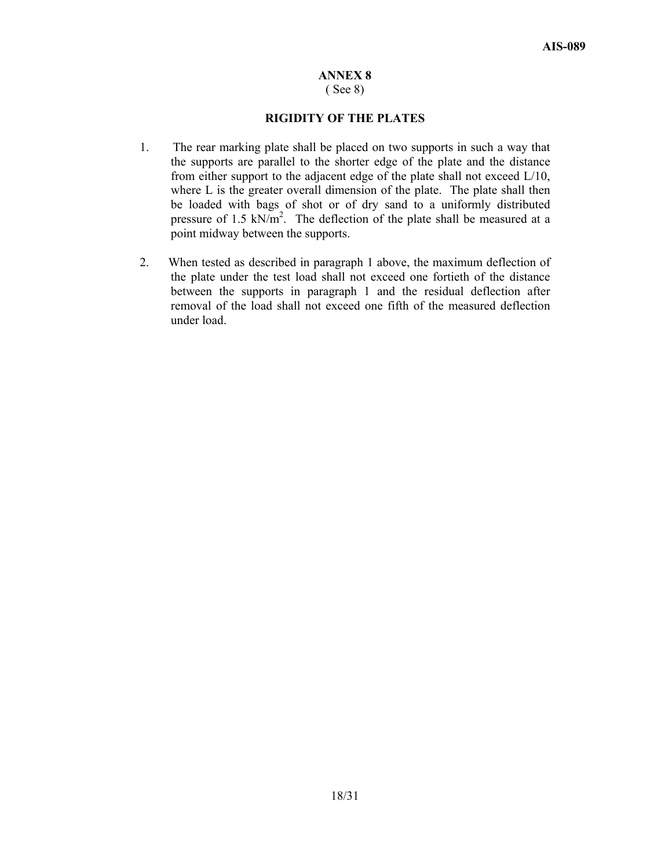## ( See 8)

### **RIGIDITY OF THE PLATES**

- 1. The rear marking plate shall be placed on two supports in such a way that the supports are parallel to the shorter edge of the plate and the distance from either support to the adjacent edge of the plate shall not exceed L/10, where L is the greater overall dimension of the plate. The plate shall then be loaded with bags of shot or of dry sand to a uniformly distributed pressure of 1.5  $kN/m^2$ . The deflection of the plate shall be measured at a point midway between the supports.
- 2. When tested as described in paragraph 1 above, the maximum deflection of the plate under the test load shall not exceed one fortieth of the distance between the supports in paragraph 1 and the residual deflection after removal of the load shall not exceed one fifth of the measured deflection under load.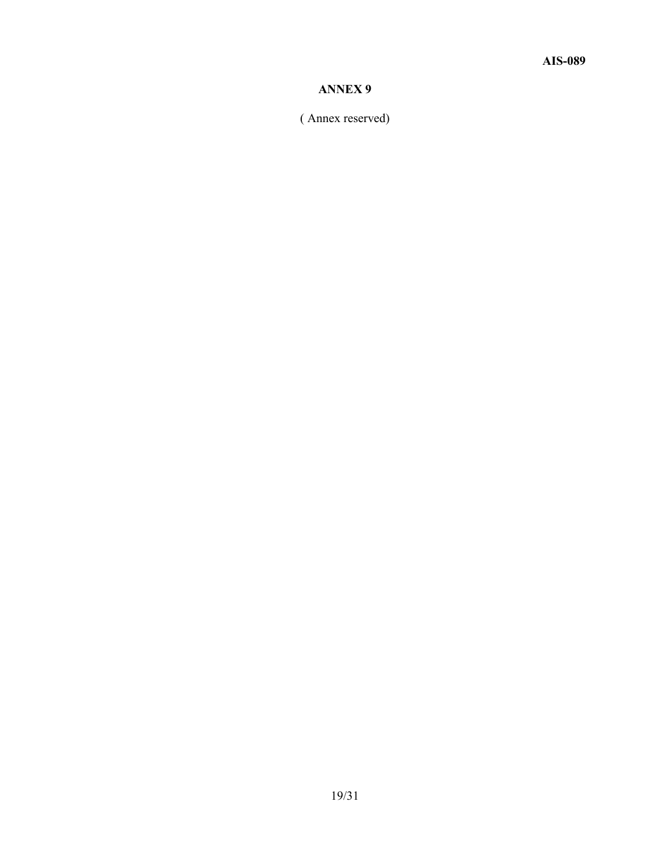( Annex reserved)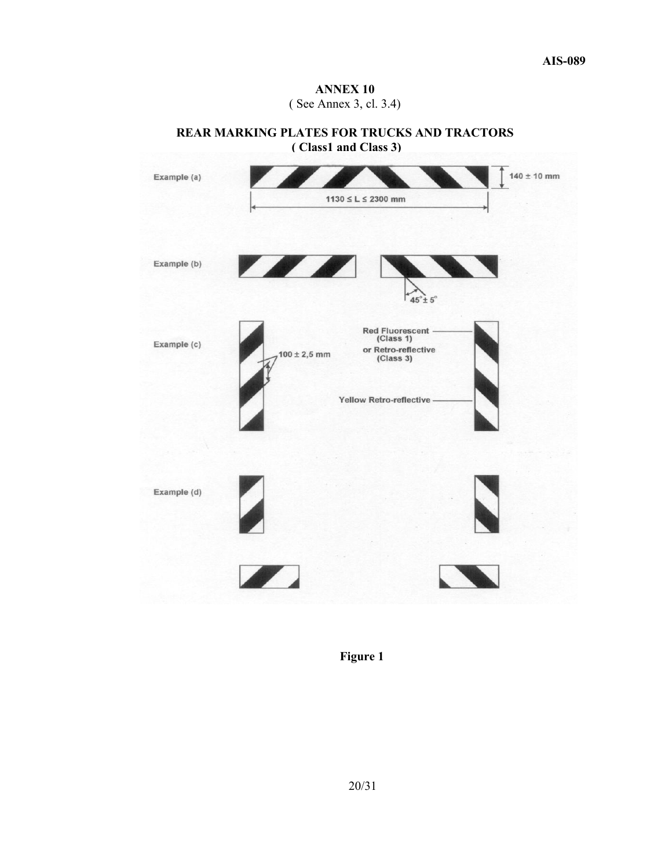### **ANNEX 10**  ( See Annex 3, cl. 3.4)



**REAR MARKING PLATES FOR TRUCKS AND TRACTORS ( Class1 and Class 3)** 

 **Figure 1**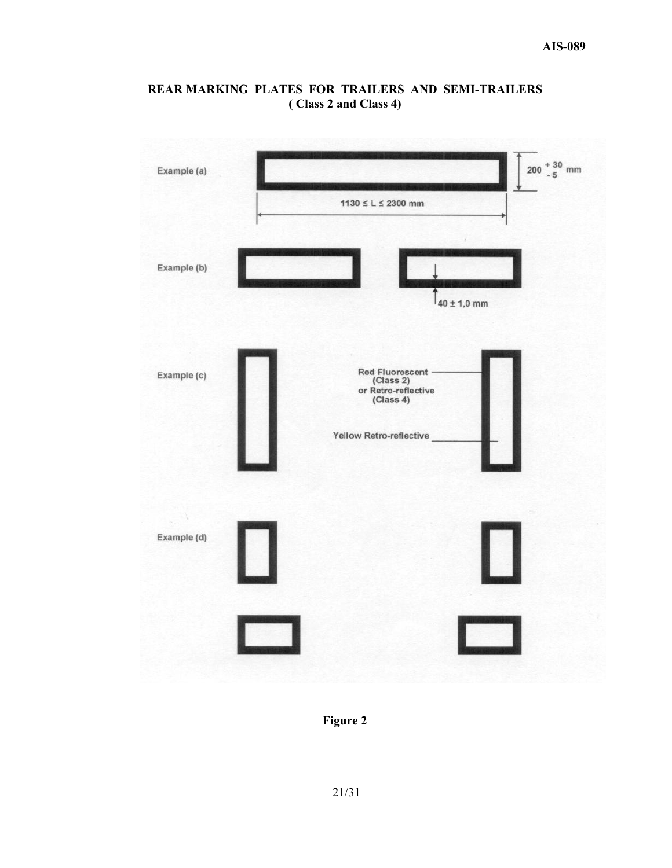

# **REAR MARKING PLATES FOR TRAILERS AND SEMI-TRAILERS ( Class 2 and Class 4)**

**Figure 2**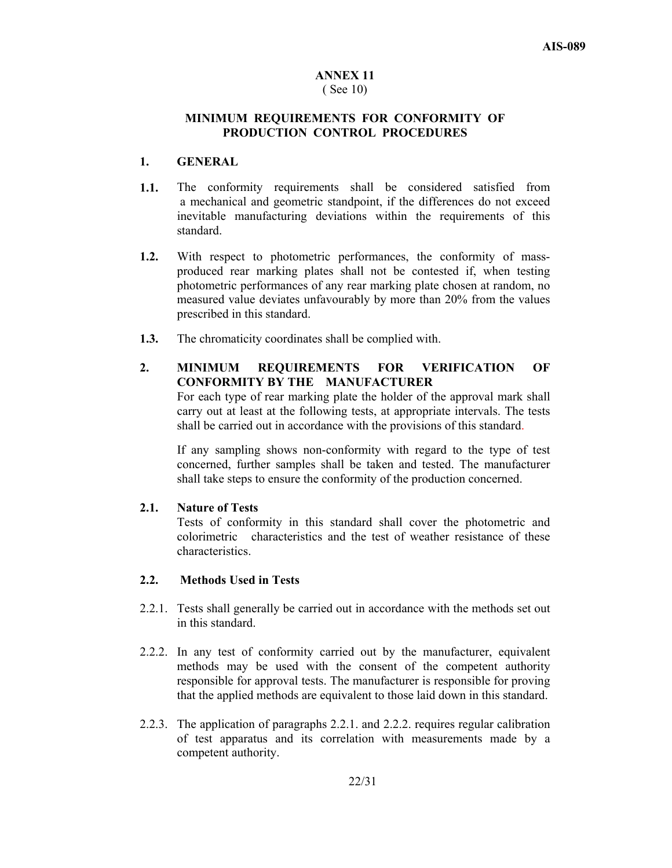### **ANNEX 11**  ( See 10)

### **MINIMUM REQUIREMENTS FOR CONFORMITY OF PRODUCTION CONTROL PROCEDURES**

### **1. GENERAL**

- **1.1.** The conformity requirements shall be considered satisfied from a mechanical and geometric standpoint, if the differences do not exceed inevitable manufacturing deviations within the requirements of this standard.
- **1.2.** With respect to photometric performances, the conformity of massproduced rear marking plates shall not be contested if, when testing photometric performances of any rear marking plate chosen at random, no measured value deviates unfavourably by more than 20% from the values prescribed in this standard.
- **1.3.** The chromaticity coordinates shall be complied with.
- **2. MINIMUM REQUIREMENTS FOR VERIFICATION OF CONFORMITY BY THE MANUFACTURER**  For each type of rear marking plate the holder of the approval mark shall carry out at least at the following tests, at appropriate intervals. The tests shall be carried out in accordance with the provisions of this standard.

If any sampling shows non-conformity with regard to the type of test concerned, further samples shall be taken and tested. The manufacturer shall take steps to ensure the conformity of the production concerned.

### **2.1. Nature of Tests**

Tests of conformity in this standard shall cover the photometric and colorimetric characteristics and the test of weather resistance of these characteristics.

### **2.2. Methods Used in Tests**

- 2.2.1. Tests shall generally be carried out in accordance with the methods set out in this standard.
- 2.2.2. In any test of conformity carried out by the manufacturer, equivalent methods may be used with the consent of the competent authority responsible for approval tests. The manufacturer is responsible for proving that the applied methods are equivalent to those laid down in this standard.
- 2.2.3. The application of paragraphs 2.2.1. and 2.2.2. requires regular calibration of test apparatus and its correlation with measurements made by a competent authority.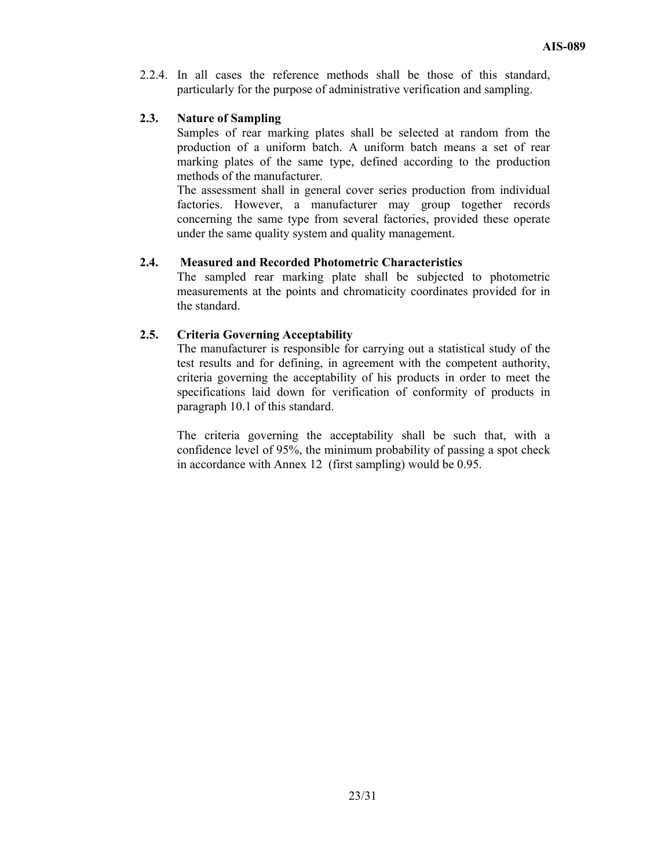2.2.4. In all cases the reference methods shall be those of this standard, particularly for the purpose of administrative verification and sampling.

### **2.3. Nature of Sampling**

Samples of rear marking plates shall be selected at random from the production of a uniform batch. A uniform batch means a set of rear marking plates of the same type, defined according to the production methods of the manufacturer.

The assessment shall in general cover series production from individual factories. However, a manufacturer may group together records concerning the same type from several factories, provided these operate under the same quality system and quality management.

### **2.4. Measured and Recorded Photometric Characteristics**

The sampled rear marking plate shall be subjected to photometric measurements at the points and chromaticity coordinates provided for in the standard.

### **2.5. Criteria Governing Acceptability**

The manufacturer is responsible for carrying out a statistical study of the test results and for defining, in agreement with the competent authority, criteria governing the acceptability of his products in order to meet the specifications laid down for verification of conformity of products in paragraph 10.1 of this standard.

The criteria governing the acceptability shall be such that, with a confidence level of 95%, the minimum probability of passing a spot check in accordance with Annex 12 (first sampling) would be 0.95.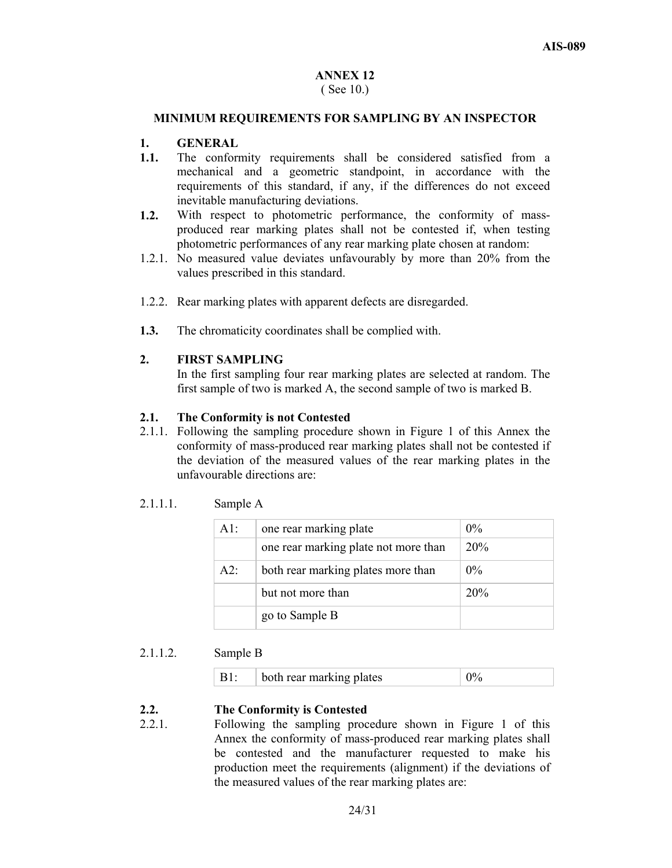# ( See 10.)

### **MINIMUM REQUIREMENTS FOR SAMPLING BY AN INSPECTOR**

### **1. GENERAL**

- **1.1.** The conformity requirements shall be considered satisfied from a mechanical and a geometric standpoint, in accordance with the requirements of this standard, if any, if the differences do not exceed inevitable manufacturing deviations.
- **1.2.** With respect to photometric performance, the conformity of massproduced rear marking plates shall not be contested if, when testing photometric performances of any rear marking plate chosen at random:
- 1.2.1. No measured value deviates unfavourably by more than 20% from the values prescribed in this standard.
- 1.2.2. Rear marking plates with apparent defects are disregarded.
- **1.3.** The chromaticity coordinates shall be complied with.

### **2. FIRST SAMPLING**

In the first sampling four rear marking plates are selected at random. The first sample of two is marked A, the second sample of two is marked B.

### **2.1. The Conformity is not Contested**

2.1.1. Following the sampling procedure shown in Figure 1 of this Annex the conformity of mass-produced rear marking plates shall not be contested if the deviation of the measured values of the rear marking plates in the unfavourable directions are:

### 2.1.1.1. Sample A

| AI: | one rear marking plate               | $0\%$ |
|-----|--------------------------------------|-------|
|     | one rear marking plate not more than | 20%   |
| A2: | both rear marking plates more than   | $0\%$ |
|     | but not more than                    | 20%   |
|     | go to Sample B                       |       |

### 2.1.1.2. Sample B

| $\mathbf{B}1$ : | both rear marking plates | $0\%$ |
|-----------------|--------------------------|-------|
|-----------------|--------------------------|-------|

### **2.2. The Conformity is Contested**

2.2.1. Following the sampling procedure shown in Figure 1 of this Annex the conformity of mass-produced rear marking plates shall be contested and the manufacturer requested to make his production meet the requirements (alignment) if the deviations of the measured values of the rear marking plates are: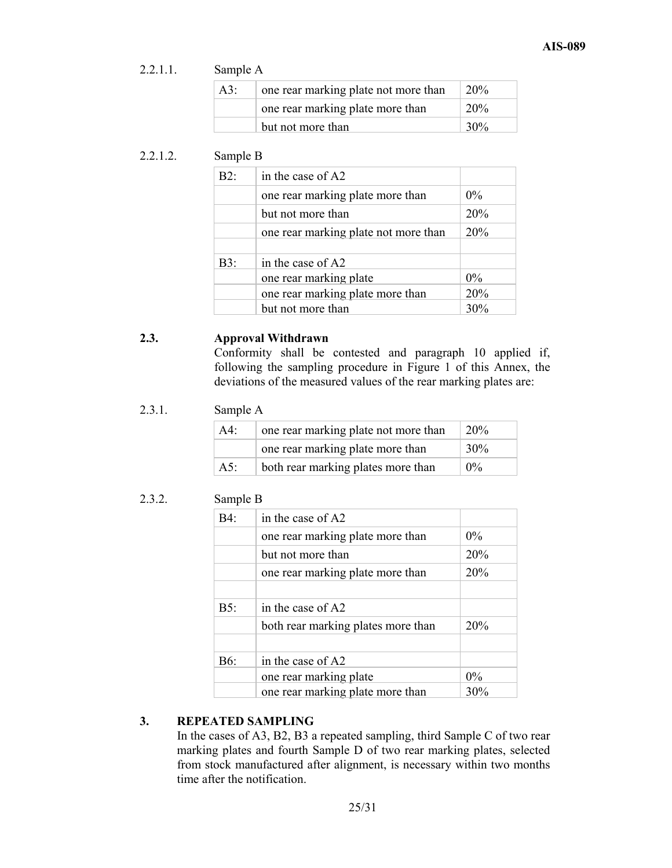### 2.2.1.1. Sample A

| $A3$ : | one rear marking plate not more than | 20%             |
|--------|--------------------------------------|-----------------|
|        | one rear marking plate more than     | 20 <sub>%</sub> |
|        | but not more than                    | 30%             |

### 2.2.1.2. Sample B

| in the case of A2                    |                        |
|--------------------------------------|------------------------|
| one rear marking plate more than     | $0\%$                  |
| but not more than                    | 20%                    |
| one rear marking plate not more than | 20%                    |
|                                      |                        |
| in the case of A2                    |                        |
|                                      | $0\%$                  |
| one rear marking plate more than     | 20%                    |
| but not more than                    | 30%                    |
|                                      | one rear marking plate |

### **2.3. Approval Withdrawn**

Conformity shall be contested and paragraph 10 applied if, following the sampling procedure in Figure 1 of this Annex, the deviations of the measured values of the rear marking plates are:

### 2.3.1. Sample A

| $AA$ : | one rear marking plate not more than | 20%   |
|--------|--------------------------------------|-------|
|        | one rear marking plate more than     | 30%   |
| A5:    | both rear marking plates more than   | $0\%$ |

### 2.3.2. Sample B

| B4: | in the case of A2                  |       |
|-----|------------------------------------|-------|
|     | one rear marking plate more than   | $0\%$ |
|     | but not more than                  | 20%   |
|     | one rear marking plate more than   | 20%   |
|     |                                    |       |
| B5: | in the case of A2                  |       |
|     | both rear marking plates more than | 20%   |
|     |                                    |       |
| B6: | in the case of A2                  |       |
|     | one rear marking plate             | $0\%$ |
|     | one rear marking plate more than   | 30%   |

### **3. REPEATED SAMPLING**

In the cases of A3, B2, B3 a repeated sampling, third Sample C of two rear marking plates and fourth Sample D of two rear marking plates, selected from stock manufactured after alignment, is necessary within two months time after the notification.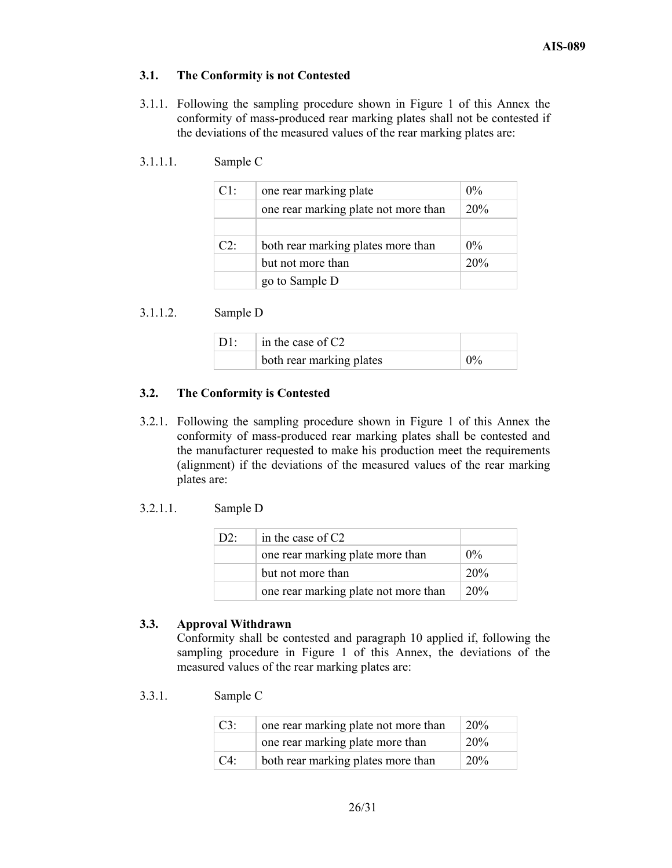### **3.1. The Conformity is not Contested**

3.1.1. Following the sampling procedure shown in Figure 1 of this Annex the conformity of mass-produced rear marking plates shall not be contested if the deviations of the measured values of the rear marking plates are:

### 3.1.1.1. Sample C

| Cl:    | one rear marking plate               | $0\%$ |
|--------|--------------------------------------|-------|
|        | one rear marking plate not more than | 20%   |
|        |                                      |       |
| $C2^+$ | both rear marking plates more than   | $0\%$ |
|        | but not more than                    | 20%   |
|        | go to Sample D                       |       |

### 3.1.1.2. Sample D

| $D1$ : | $\ln$ the case of C2     |  |
|--------|--------------------------|--|
|        | both rear marking plates |  |

### **3.2. The Conformity is Contested**

3.2.1. Following the sampling procedure shown in Figure 1 of this Annex the conformity of mass-produced rear marking plates shall be contested and the manufacturer requested to make his production meet the requirements (alignment) if the deviations of the measured values of the rear marking plates are:

### 3.2.1.1. Sample D

| D2 | in the case of $C2$                  |                 |
|----|--------------------------------------|-----------------|
|    | one rear marking plate more than     | $0\%$           |
|    | but not more than                    | 20 <sub>%</sub> |
|    | one rear marking plate not more than | 20%             |

### **3.3. Approval Withdrawn**

Conformity shall be contested and paragraph 10 applied if, following the sampling procedure in Figure 1 of this Annex, the deviations of the measured values of the rear marking plates are:

3.3.1. Sample C

| $C3$ : | one rear marking plate not more than | 20%             |
|--------|--------------------------------------|-----------------|
|        | one rear marking plate more than     | 20%             |
| $C4$ : | both rear marking plates more than   | 20 <sub>%</sub> |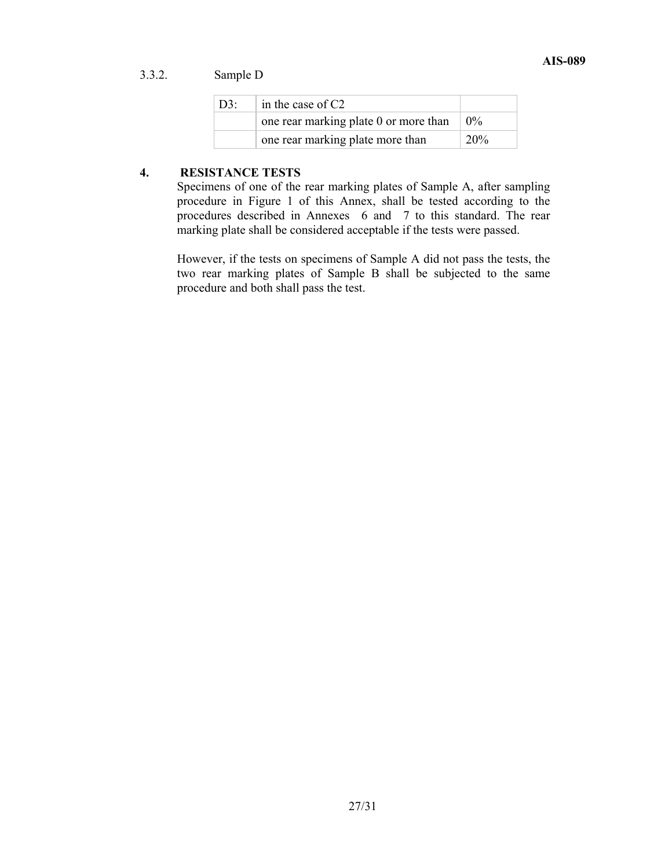## 3.3.2. Sample D

| D3: | in the case of C2                     |            |
|-----|---------------------------------------|------------|
|     | one rear marking plate 0 or more than | $0\%$      |
|     | one rear marking plate more than      | <b>20%</b> |

### **4. RESISTANCE TESTS**

Specimens of one of the rear marking plates of Sample A, after sampling procedure in Figure 1 of this Annex, shall be tested according to the procedures described in Annexes 6 and 7 to this standard. The rear marking plate shall be considered acceptable if the tests were passed.

However, if the tests on specimens of Sample A did not pass the tests, the two rear marking plates of Sample B shall be subjected to the same procedure and both shall pass the test.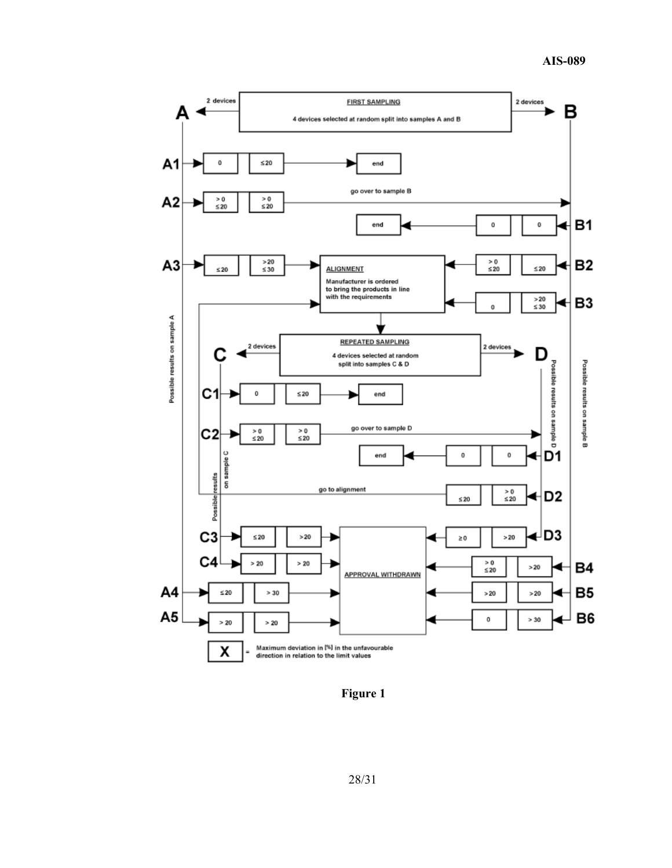

 **Figure 1**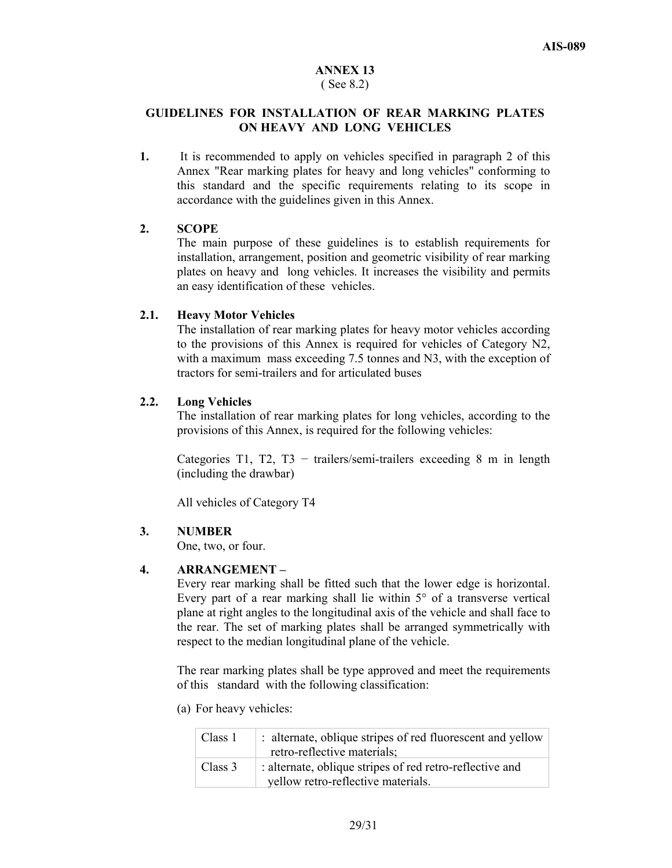#### **ANNEX 13**  ( See 8.2)

### **GUIDELINES FOR INSTALLATION OF REAR MARKING PLATES ON HEAVY AND LONG VEHICLES**

**1.** It is recommended to apply on vehicles specified in paragraph 2 of this Annex "Rear marking plates for heavy and long vehicles" conforming to this standard and the specific requirements relating to its scope in accordance with the guidelines given in this Annex.

### **2. SCOPE**

The main purpose of these guidelines is to establish requirements for installation, arrangement, position and geometric visibility of rear marking plates on heavy and long vehicles. It increases the visibility and permits an easy identification of these vehicles.

### **2.1. Heavy Motor Vehicles**

The installation of rear marking plates for heavy motor vehicles according to the provisions of this Annex is required for vehicles of Category N2, with a maximum mass exceeding 7.5 tonnes and N3, with the exception of tractors for semi-trailers and for articulated buses

### **2.2. Long Vehicles**

The installation of rear marking plates for long vehicles, according to the provisions of this Annex, is required for the following vehicles:

Categories T1, T2, T3  $-$  trailers/semi-trailers exceeding 8 m in length (including the drawbar)

All vehicles of Category T4

### **3. NUMBER**

One, two, or four.

### **4. ARRANGEMENT –**

Every rear marking shall be fitted such that the lower edge is horizontal. Every part of a rear marking shall lie within  $5^\circ$  of a transverse vertical plane at right angles to the longitudinal axis of the vehicle and shall face to the rear. The set of marking plates shall be arranged symmetrically with respect to the median longitudinal plane of the vehicle.

The rear marking plates shall be type approved and meet the requirements of this standard with the following classification:

(a) For heavy vehicles:

| Class 1 | : alternate, oblique stripes of red fluorescent and yellow<br>retro-reflective materials;      |  |
|---------|------------------------------------------------------------------------------------------------|--|
| Class 3 | : alternate, oblique stripes of red retro-reflective and<br>yellow retro-reflective materials. |  |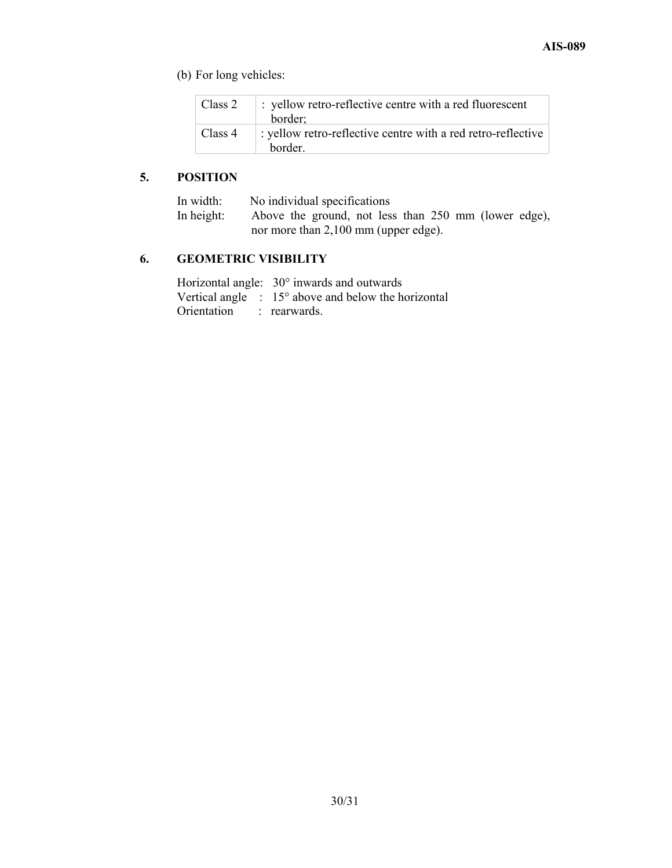(b) For long vehicles:

| Class 2 | : yellow retro-reflective centre with a red fluorescent                 |  |
|---------|-------------------------------------------------------------------------|--|
|         | border:                                                                 |  |
| Class 4 | : yellow retro-reflective centre with a red retro-reflective<br>border. |  |

## **5. POSITION**

| In width:                            | No individual specifications                         |
|--------------------------------------|------------------------------------------------------|
| In height:                           | Above the ground, not less than 250 mm (lower edge), |
| nor more than 2,100 mm (upper edge). |                                                      |

### **6. GEOMETRIC VISIBILITY**

Horizontal angle: 30° inwards and outwards Vertical angle : 15° above and below the horizontal Orientation : rearwards.